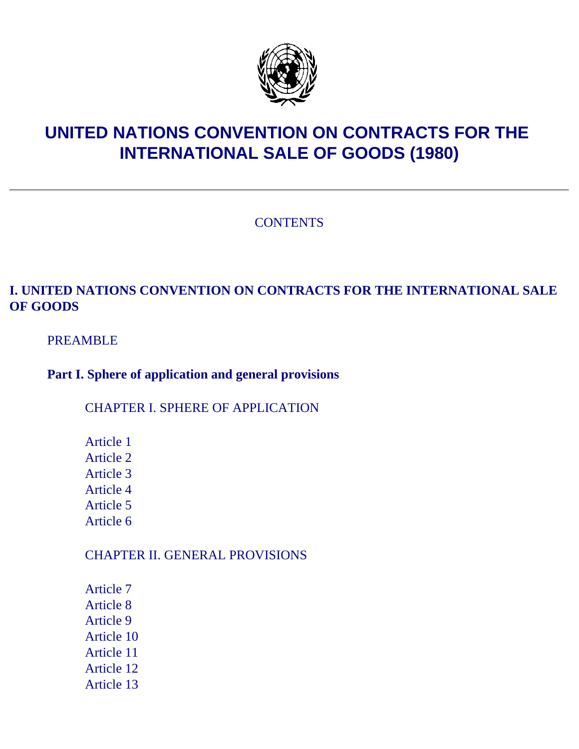

# **UNITED NATIONS CONVENTION ON CONTRACTS FOR THE INTERNATIONAL SALE OF GOODS (1980)**

**CONTENTS** 

## **I. UNITED NATIONS CONVENTION ON CONTRACTS FOR THE INTERNATIONAL SALE OF GOODS**

#### PREAMBLE

## **Part I. Sphere of application and general provisions**

CHAPTER I. SPHERE OF APPLICATION

- Article 1 Article 2 Article 3
- Article 4
- Article 5
- Article 6

CHAPTER II. GENERAL PROVISIONS

Article 7 Article 8 Article 9 Article 10 Article 11 Article 12 Article 13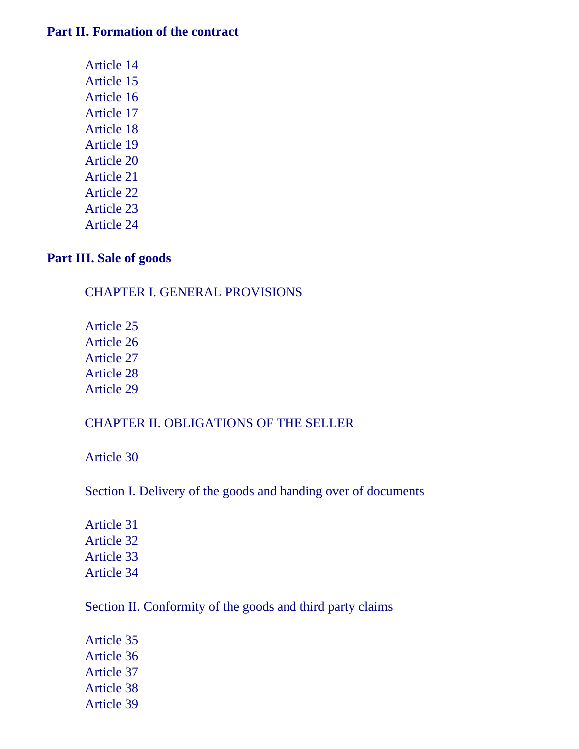### **Part II. Formation of the contract**

Article 14 Article 15 Article 16 Article 17 Article 18 Article 19 Article 20 Article 21 Article 22 Article 23 Article 24

## **Part III. Sale of goods**

## CHAPTER I. GENERAL PROVISIONS

Article 25 Article 26 Article 27 Article 28 Article 29

## CHAPTER II. OBLIGATIONS OF THE SELLER

Article 30

## Section I. Delivery of the goods and handing over of documents

Article 31 Article 32 Article 33 Article 34

Section II. Conformity of the goods and third party claims

Article 35 Article 36 Article 37 Article 38 Article 39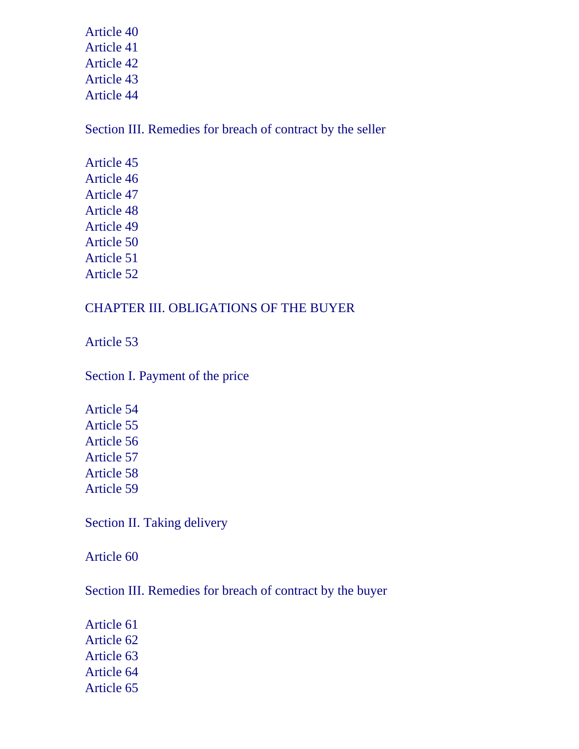Article 40 Article 41 Article 42 Article 43 Article 44

Section III. Remedies for breach of contract by the seller

Article 45 Article 46 Article 47 Article 48 Article 49 Article 50 Article 51 Article 52

## CHAPTER III. OBLIGATIONS OF THE BUYER

Article 53

Section I. Payment of the price

Article 54 Article 55 Article 56 Article 57 Article 58 Article 59

Section II. Taking delivery

Article 60

Section III. Remedies for breach of contract by the buyer

Article 61 Article 62 Article 63 Article 64 Article 65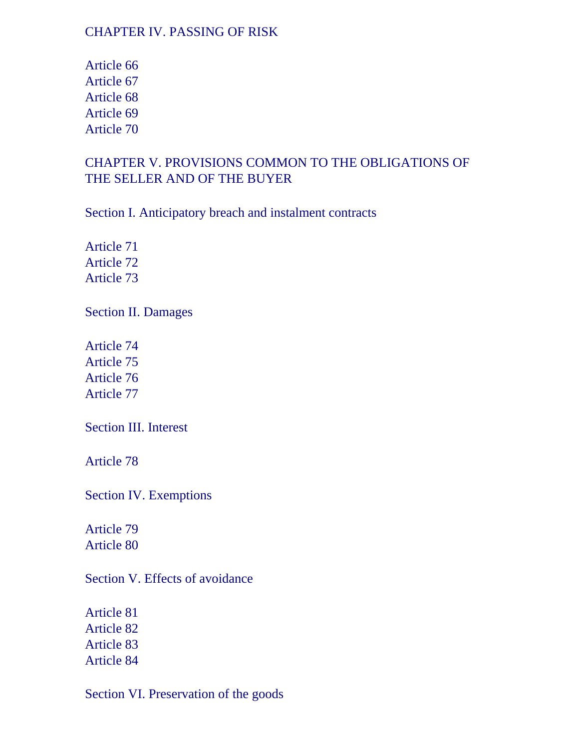#### CHAPTER IV. PASSING OF RISK

Article 66 Article 67 Article 68 Article 69 Article 70

#### CHAPTER V. PROVISIONS COMMON TO THE OBLIGATIONS OF THE SELLER AND OF THE BUYER

Section I. Anticipatory breach and instalment contracts

Article 71 Article 72 Article 73

Section II. Damages

Article 74 Article 75 Article 76 Article 77

Section III. Interest

Article 78

Section IV. Exemptions

Article 79 Article 80

Section V. Effects of avoidance

Article 81 Article 82 Article 83 Article 84

Section VI. Preservation of the goods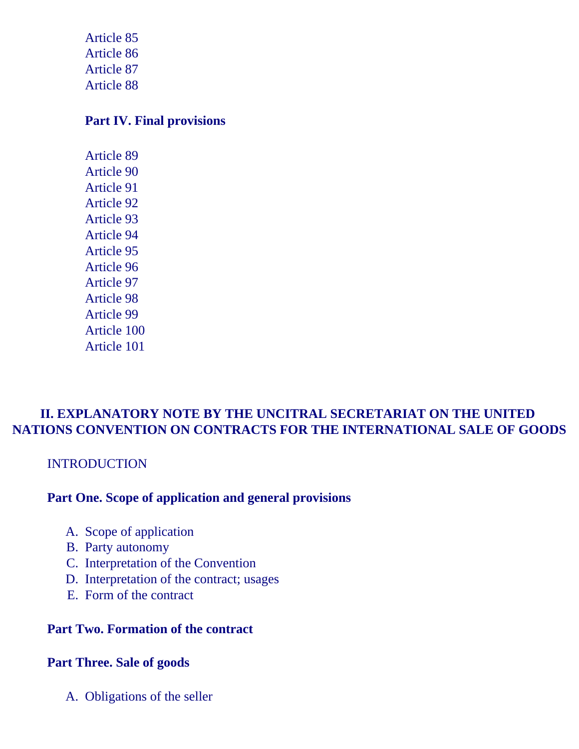Article 85 Article 86 Article 87 Article 88

#### **Part IV. Final provisions**

Article 89 Article 90 Article 91 Article 92 Article 93 Article 94 Article 95 Article 96 Article 97 Article 98 Article 99 Article 100 Article 101

## **II. EXPLANATORY NOTE BY THE UNCITRAL SECRETARIAT ON THE UNITED NATIONS CONVENTION ON CONTRACTS FOR THE INTERNATIONAL SALE OF GOODS**

#### INTRODUCTION

#### **Part One. Scope of application and general provisions**

- A. Scope of application
- B. Party autonomy
- C. Interpretation of the Convention
- D. Interpretation of the contract; usages
- E. Form of the contract

#### **Part Two. Formation of the contract**

#### **Part Three. Sale of goods**

A. Obligations of the seller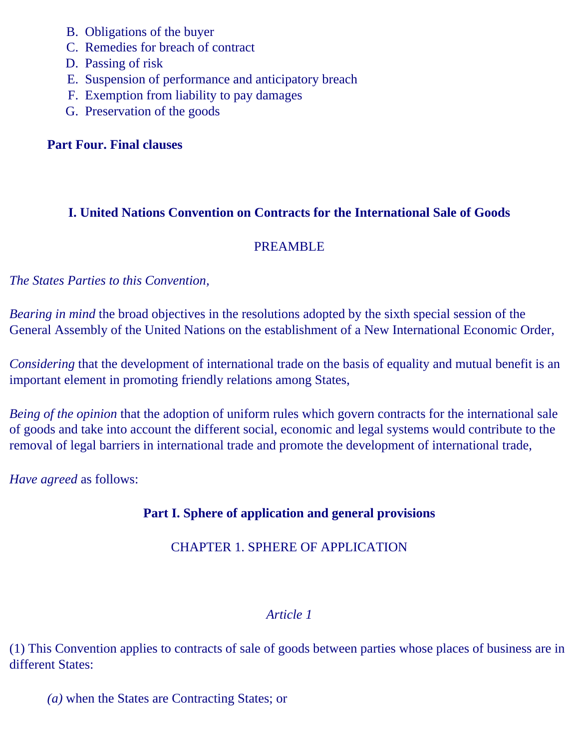- B. Obligations of the buyer
- C. Remedies for breach of contract
- D. Passing of risk
- E. Suspension of performance and anticipatory breach
- F. Exemption from liability to pay damages
- G. Preservation of the goods

## **Part Four. Final clauses**

## **I. United Nations Convention on Contracts for the International Sale of Goods**

## PREAMBLE

## *The States Parties to this Convention,*

*Bearing in mind* the broad objectives in the resolutions adopted by the sixth special session of the General Assembly of the United Nations on the establishment of a New International Economic Order,

*Considering* that the development of international trade on the basis of equality and mutual benefit is an important element in promoting friendly relations among States,

*Being of the opinion* that the adoption of uniform rules which govern contracts for the international sale of goods and take into account the different social, economic and legal systems would contribute to the removal of legal barriers in international trade and promote the development of international trade,

*Have agreed* as follows:

## **Part I. Sphere of application and general provisions**

## CHAPTER 1. SPHERE OF APPLICATION

## *Article 1*

(1) This Convention applies to contracts of sale of goods between parties whose places of business are in different States:

*(a)* when the States are Contracting States; or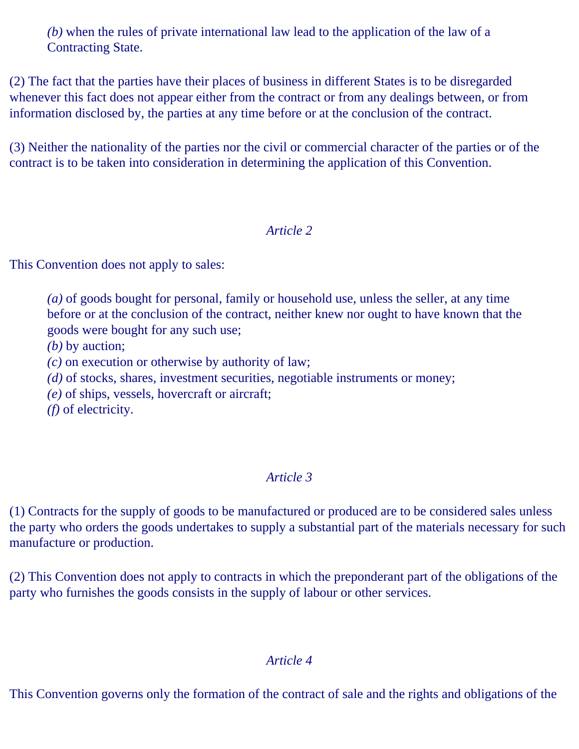*(b)* when the rules of private international law lead to the application of the law of a Contracting State.

(2) The fact that the parties have their places of business in different States is to be disregarded whenever this fact does not appear either from the contract or from any dealings between, or from information disclosed by, the parties at any time before or at the conclusion of the contract.

(3) Neither the nationality of the parties nor the civil or commercial character of the parties or of the contract is to be taken into consideration in determining the application of this Convention.

#### *Article 2*

This Convention does not apply to sales:

*(a)* of goods bought for personal, family or household use, unless the seller, at any time before or at the conclusion of the contract, neither knew nor ought to have known that the goods were bought for any such use;

*(b)* by auction;

*(c)* on execution or otherwise by authority of law;

*(d)* of stocks, shares, investment securities, negotiable instruments or money;

*(e)* of ships, vessels, hovercraft or aircraft;

*(f)* of electricity.

## *Article 3*

(1) Contracts for the supply of goods to be manufactured or produced are to be considered sales unless the party who orders the goods undertakes to supply a substantial part of the materials necessary for such manufacture or production.

(2) This Convention does not apply to contracts in which the preponderant part of the obligations of the party who furnishes the goods consists in the supply of labour or other services.

## *Article 4*

This Convention governs only the formation of the contract of sale and the rights and obligations of the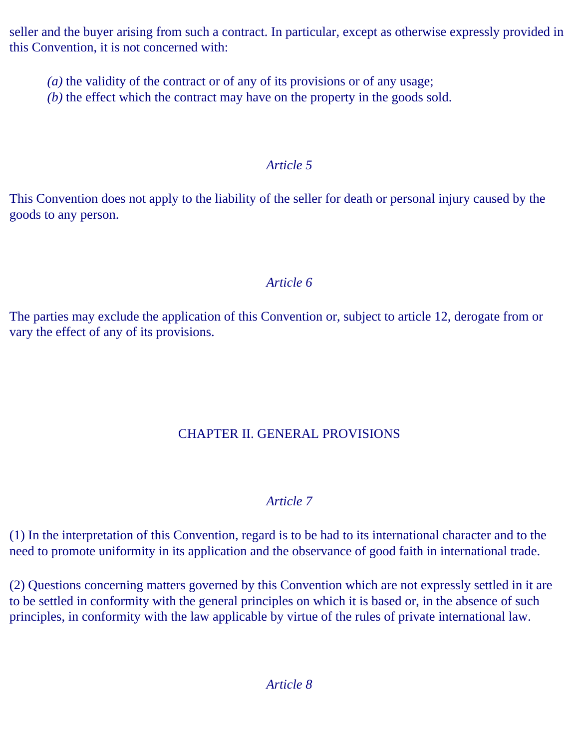seller and the buyer arising from such a contract. In particular, except as otherwise expressly provided in this Convention, it is not concerned with:

*(a)* the validity of the contract or of any of its provisions or of any usage;

*(b)* the effect which the contract may have on the property in the goods sold.

## *Article 5*

This Convention does not apply to the liability of the seller for death or personal injury caused by the goods to any person.

## *Article 6*

The parties may exclude the application of this Convention or, subject to article 12, derogate from or vary the effect of any of its provisions.

## CHAPTER II. GENERAL PROVISIONS

## *Article 7*

(1) In the interpretation of this Convention, regard is to be had to its international character and to the need to promote uniformity in its application and the observance of good faith in international trade.

(2) Questions concerning matters governed by this Convention which are not expressly settled in it are to be settled in conformity with the general principles on which it is based or, in the absence of such principles, in conformity with the law applicable by virtue of the rules of private international law.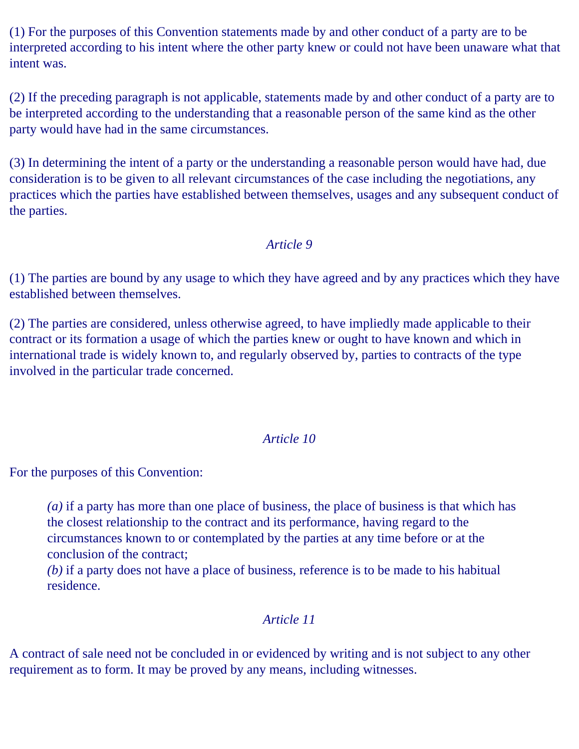(1) For the purposes of this Convention statements made by and other conduct of a party are to be interpreted according to his intent where the other party knew or could not have been unaware what that intent was.

(2) If the preceding paragraph is not applicable, statements made by and other conduct of a party are to be interpreted according to the understanding that a reasonable person of the same kind as the other party would have had in the same circumstances.

(3) In determining the intent of a party or the understanding a reasonable person would have had, due consideration is to be given to all relevant circumstances of the case including the negotiations, any practices which the parties have established between themselves, usages and any subsequent conduct of the parties.

#### *Article 9*

(1) The parties are bound by any usage to which they have agreed and by any practices which they have established between themselves.

(2) The parties are considered, unless otherwise agreed, to have impliedly made applicable to their contract or its formation a usage of which the parties knew or ought to have known and which in international trade is widely known to, and regularly observed by, parties to contracts of the type involved in the particular trade concerned.

## *Article 10*

For the purposes of this Convention:

*(a)* if a party has more than one place of business, the place of business is that which has the closest relationship to the contract and its performance, having regard to the circumstances known to or contemplated by the parties at any time before or at the conclusion of the contract;

*(b)* if a party does not have a place of business, reference is to be made to his habitual residence.

## *Article 11*

A contract of sale need not be concluded in or evidenced by writing and is not subject to any other requirement as to form. It may be proved by any means, including witnesses.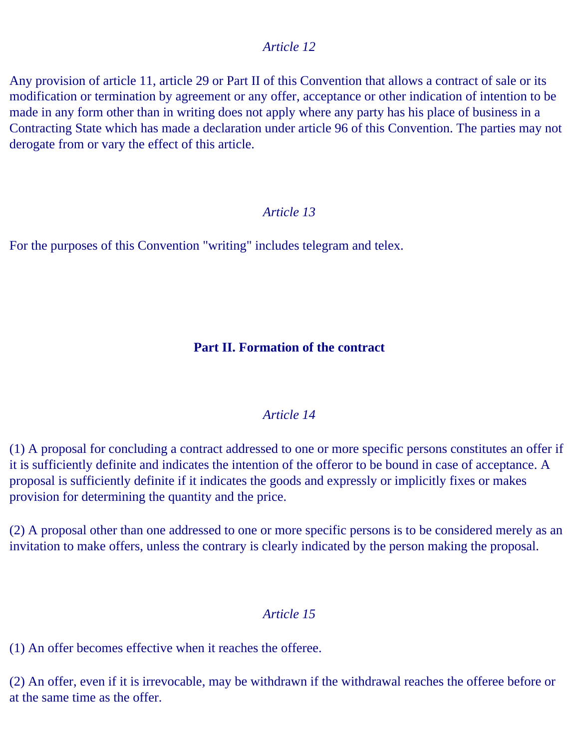Any provision of article 11, article 29 or Part II of this Convention that allows a contract of sale or its modification or termination by agreement or any offer, acceptance or other indication of intention to be made in any form other than in writing does not apply where any party has his place of business in a Contracting State which has made a declaration under article 96 of this Convention. The parties may not derogate from or vary the effect of this article.

#### *Article 13*

For the purposes of this Convention "writing" includes telegram and telex.

#### **Part II. Formation of the contract**

#### *Article 14*

(1) A proposal for concluding a contract addressed to one or more specific persons constitutes an offer if it is sufficiently definite and indicates the intention of the offeror to be bound in case of acceptance. A proposal is sufficiently definite if it indicates the goods and expressly or implicitly fixes or makes provision for determining the quantity and the price.

(2) A proposal other than one addressed to one or more specific persons is to be considered merely as an invitation to make offers, unless the contrary is clearly indicated by the person making the proposal.

#### *Article 15*

(1) An offer becomes effective when it reaches the offeree.

(2) An offer, even if it is irrevocable, may be withdrawn if the withdrawal reaches the offeree before or at the same time as the offer.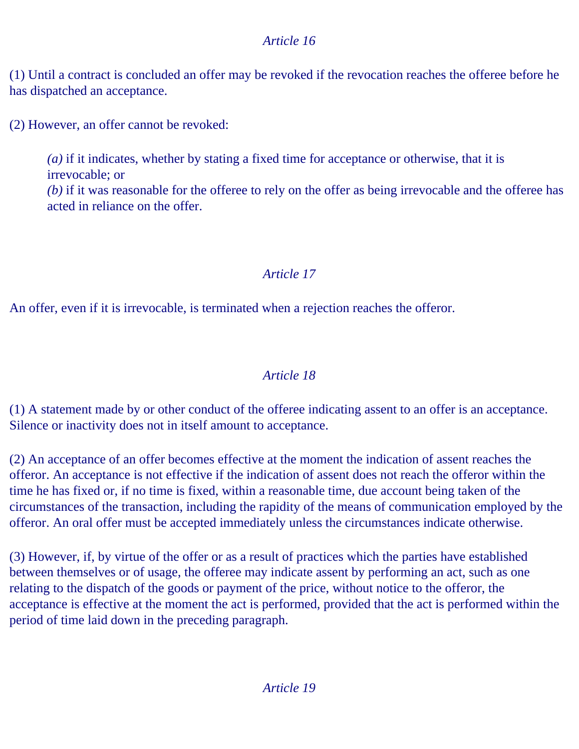(1) Until a contract is concluded an offer may be revoked if the revocation reaches the offeree before he has dispatched an acceptance.

(2) However, an offer cannot be revoked:

*(a)* if it indicates, whether by stating a fixed time for acceptance or otherwise, that it is irrevocable; or

*(b)* if it was reasonable for the offeree to rely on the offer as being irrevocable and the offeree has acted in reliance on the offer.

## *Article 17*

An offer, even if it is irrevocable, is terminated when a rejection reaches the offeror.

## *Article 18*

(1) A statement made by or other conduct of the offeree indicating assent to an offer is an acceptance. Silence or inactivity does not in itself amount to acceptance.

(2) An acceptance of an offer becomes effective at the moment the indication of assent reaches the offeror. An acceptance is not effective if the indication of assent does not reach the offeror within the time he has fixed or, if no time is fixed, within a reasonable time, due account being taken of the circumstances of the transaction, including the rapidity of the means of communication employed by the offeror. An oral offer must be accepted immediately unless the circumstances indicate otherwise.

(3) However, if, by virtue of the offer or as a result of practices which the parties have established between themselves or of usage, the offeree may indicate assent by performing an act, such as one relating to the dispatch of the goods or payment of the price, without notice to the offeror, the acceptance is effective at the moment the act is performed, provided that the act is performed within the period of time laid down in the preceding paragraph.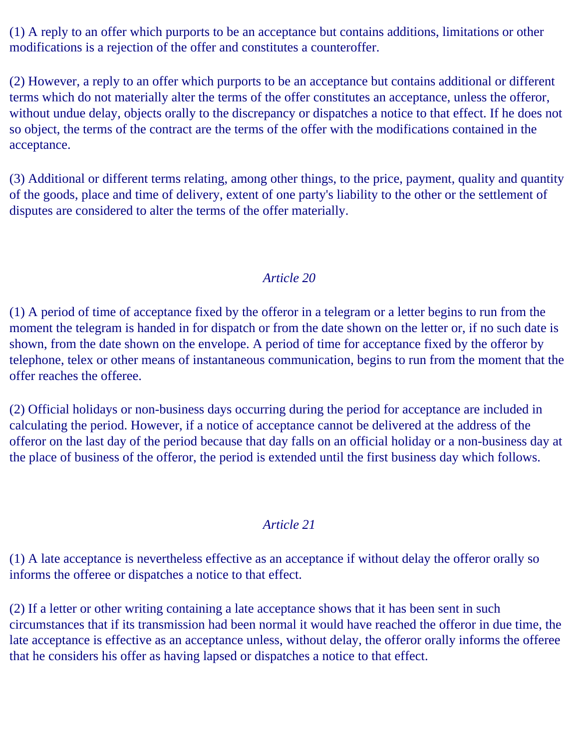(1) A reply to an offer which purports to be an acceptance but contains additions, limitations or other modifications is a rejection of the offer and constitutes a counteroffer.

(2) However, a reply to an offer which purports to be an acceptance but contains additional or different terms which do not materially alter the terms of the offer constitutes an acceptance, unless the offeror, without undue delay, objects orally to the discrepancy or dispatches a notice to that effect. If he does not so object, the terms of the contract are the terms of the offer with the modifications contained in the acceptance.

(3) Additional or different terms relating, among other things, to the price, payment, quality and quantity of the goods, place and time of delivery, extent of one party's liability to the other or the settlement of disputes are considered to alter the terms of the offer materially.

#### *Article 20*

(1) A period of time of acceptance fixed by the offeror in a telegram or a letter begins to run from the moment the telegram is handed in for dispatch or from the date shown on the letter or, if no such date is shown, from the date shown on the envelope. A period of time for acceptance fixed by the offeror by telephone, telex or other means of instantaneous communication, begins to run from the moment that the offer reaches the offeree.

(2) Official holidays or non-business days occurring during the period for acceptance are included in calculating the period. However, if a notice of acceptance cannot be delivered at the address of the offeror on the last day of the period because that day falls on an official holiday or a non-business day at the place of business of the offeror, the period is extended until the first business day which follows.

## *Article 21*

(1) A late acceptance is nevertheless effective as an acceptance if without delay the offeror orally so informs the offeree or dispatches a notice to that effect.

(2) If a letter or other writing containing a late acceptance shows that it has been sent in such circumstances that if its transmission had been normal it would have reached the offeror in due time, the late acceptance is effective as an acceptance unless, without delay, the offeror orally informs the offeree that he considers his offer as having lapsed or dispatches a notice to that effect.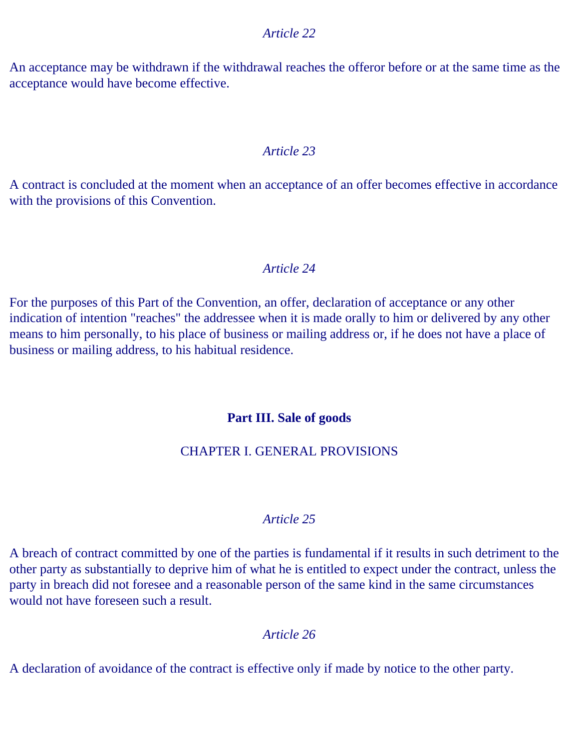An acceptance may be withdrawn if the withdrawal reaches the offeror before or at the same time as the acceptance would have become effective.

#### *Article 23*

A contract is concluded at the moment when an acceptance of an offer becomes effective in accordance with the provisions of this Convention.

#### *Article 24*

For the purposes of this Part of the Convention, an offer, declaration of acceptance or any other indication of intention "reaches" the addressee when it is made orally to him or delivered by any other means to him personally, to his place of business or mailing address or, if he does not have a place of business or mailing address, to his habitual residence.

## **Part III. Sale of goods**

## CHAPTER I. GENERAL PROVISIONS

## *Article 25*

A breach of contract committed by one of the parties is fundamental if it results in such detriment to the other party as substantially to deprive him of what he is entitled to expect under the contract, unless the party in breach did not foresee and a reasonable person of the same kind in the same circumstances would not have foreseen such a result.

#### *Article 26*

A declaration of avoidance of the contract is effective only if made by notice to the other party.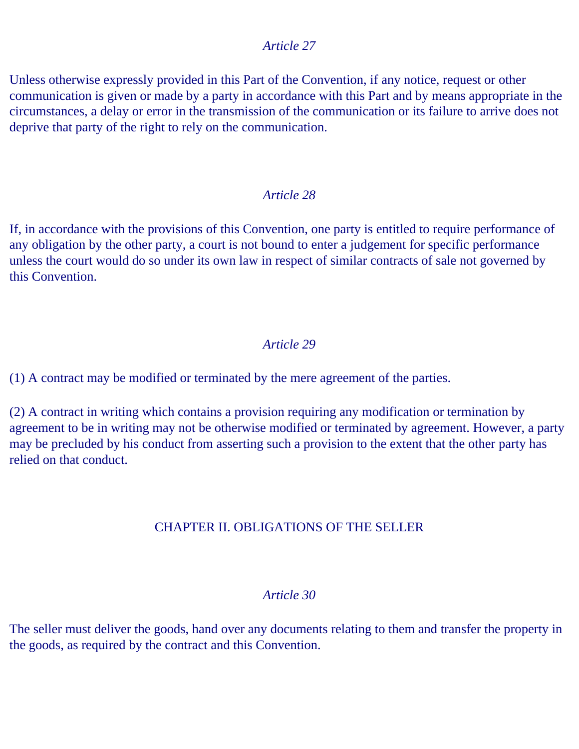Unless otherwise expressly provided in this Part of the Convention, if any notice, request or other communication is given or made by a party in accordance with this Part and by means appropriate in the circumstances, a delay or error in the transmission of the communication or its failure to arrive does not deprive that party of the right to rely on the communication.

#### *Article 28*

If, in accordance with the provisions of this Convention, one party is entitled to require performance of any obligation by the other party, a court is not bound to enter a judgement for specific performance unless the court would do so under its own law in respect of similar contracts of sale not governed by this Convention.

## *Article 29*

(1) A contract may be modified or terminated by the mere agreement of the parties.

(2) A contract in writing which contains a provision requiring any modification or termination by agreement to be in writing may not be otherwise modified or terminated by agreement. However, a party may be precluded by his conduct from asserting such a provision to the extent that the other party has relied on that conduct.

## CHAPTER II. OBLIGATIONS OF THE SELLER

## *Article 30*

The seller must deliver the goods, hand over any documents relating to them and transfer the property in the goods, as required by the contract and this Convention.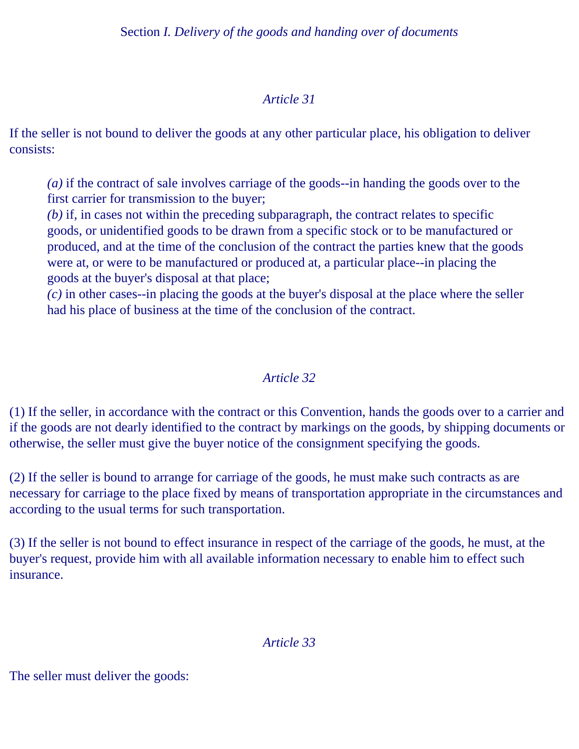If the seller is not bound to deliver the goods at any other particular place, his obligation to deliver consists:

*(a)* if the contract of sale involves carriage of the goods--in handing the goods over to the first carrier for transmission to the buyer;

*(b)* if, in cases not within the preceding subparagraph, the contract relates to specific goods, or unidentified goods to be drawn from a specific stock or to be manufactured or produced, and at the time of the conclusion of the contract the parties knew that the goods were at, or were to be manufactured or produced at, a particular place--in placing the goods at the buyer's disposal at that place;

*(c)* in other cases--in placing the goods at the buyer's disposal at the place where the seller had his place of business at the time of the conclusion of the contract.

## *Article 32*

(1) If the seller, in accordance with the contract or this Convention, hands the goods over to a carrier and if the goods are not dearly identified to the contract by markings on the goods, by shipping documents or otherwise, the seller must give the buyer notice of the consignment specifying the goods.

(2) If the seller is bound to arrange for carriage of the goods, he must make such contracts as are necessary for carriage to the place fixed by means of transportation appropriate in the circumstances and according to the usual terms for such transportation.

(3) If the seller is not bound to effect insurance in respect of the carriage of the goods, he must, at the buyer's request, provide him with all available information necessary to enable him to effect such insurance.

#### *Article 33*

The seller must deliver the goods: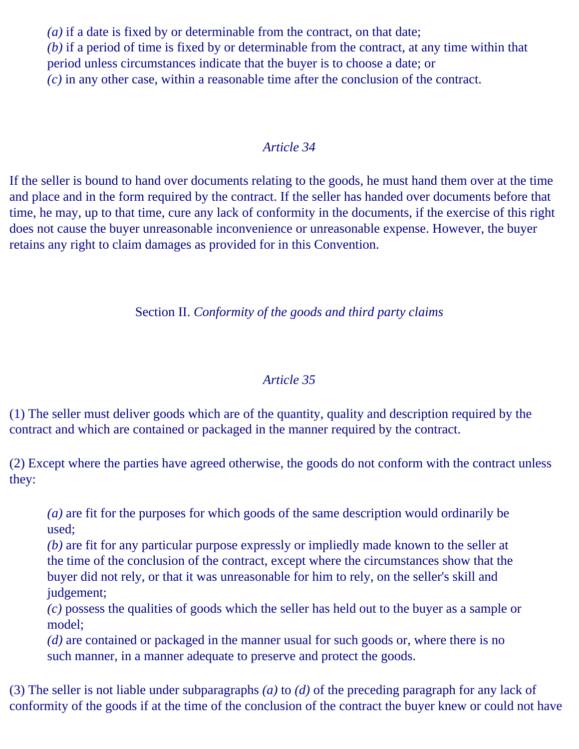*(a)* if a date is fixed by or determinable from the contract, on that date;

*(b)* if a period of time is fixed by or determinable from the contract, at any time within that

period unless circumstances indicate that the buyer is to choose a date; or

*(c)* in any other case, within a reasonable time after the conclusion of the contract.

## *Article 34*

If the seller is bound to hand over documents relating to the goods, he must hand them over at the time and place and in the form required by the contract. If the seller has handed over documents before that time, he may, up to that time, cure any lack of conformity in the documents, if the exercise of this right does not cause the buyer unreasonable inconvenience or unreasonable expense. However, the buyer retains any right to claim damages as provided for in this Convention.

## Section II. *Conformity of the goods and third party claims*

## *Article 35*

(1) The seller must deliver goods which are of the quantity, quality and description required by the contract and which are contained or packaged in the manner required by the contract.

(2) Except where the parties have agreed otherwise, the goods do not conform with the contract unless they:

*(a)* are fit for the purposes for which goods of the same description would ordinarily be used;

*(b)* are fit for any particular purpose expressly or impliedly made known to the seller at the time of the conclusion of the contract, except where the circumstances show that the buyer did not rely, or that it was unreasonable for him to rely, on the seller's skill and judgement;

*(c)* possess the qualities of goods which the seller has held out to the buyer as a sample or model;

*(d)* are contained or packaged in the manner usual for such goods or, where there is no such manner, in a manner adequate to preserve and protect the goods.

(3) The seller is not liable under subparagraphs *(a)* to *(d)* of the preceding paragraph for any lack of conformity of the goods if at the time of the conclusion of the contract the buyer knew or could not have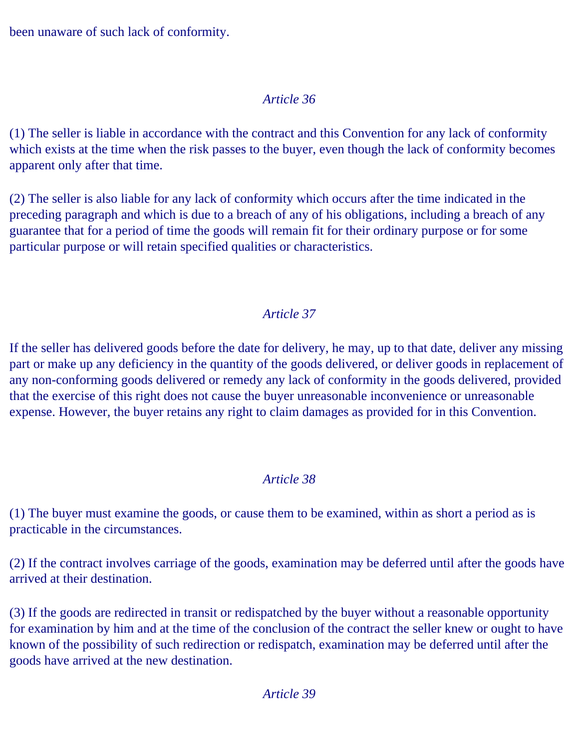been unaware of such lack of conformity.

## *Article 36*

(1) The seller is liable in accordance with the contract and this Convention for any lack of conformity which exists at the time when the risk passes to the buyer, even though the lack of conformity becomes apparent only after that time.

(2) The seller is also liable for any lack of conformity which occurs after the time indicated in the preceding paragraph and which is due to a breach of any of his obligations, including a breach of any guarantee that for a period of time the goods will remain fit for their ordinary purpose or for some particular purpose or will retain specified qualities or characteristics.

## *Article 37*

If the seller has delivered goods before the date for delivery, he may, up to that date, deliver any missing part or make up any deficiency in the quantity of the goods delivered, or deliver goods in replacement of any non-conforming goods delivered or remedy any lack of conformity in the goods delivered, provided that the exercise of this right does not cause the buyer unreasonable inconvenience or unreasonable expense. However, the buyer retains any right to claim damages as provided for in this Convention.

## *Article 38*

(1) The buyer must examine the goods, or cause them to be examined, within as short a period as is practicable in the circumstances.

(2) If the contract involves carriage of the goods, examination may be deferred until after the goods have arrived at their destination.

(3) If the goods are redirected in transit or redispatched by the buyer without a reasonable opportunity for examination by him and at the time of the conclusion of the contract the seller knew or ought to have known of the possibility of such redirection or redispatch, examination may be deferred until after the goods have arrived at the new destination.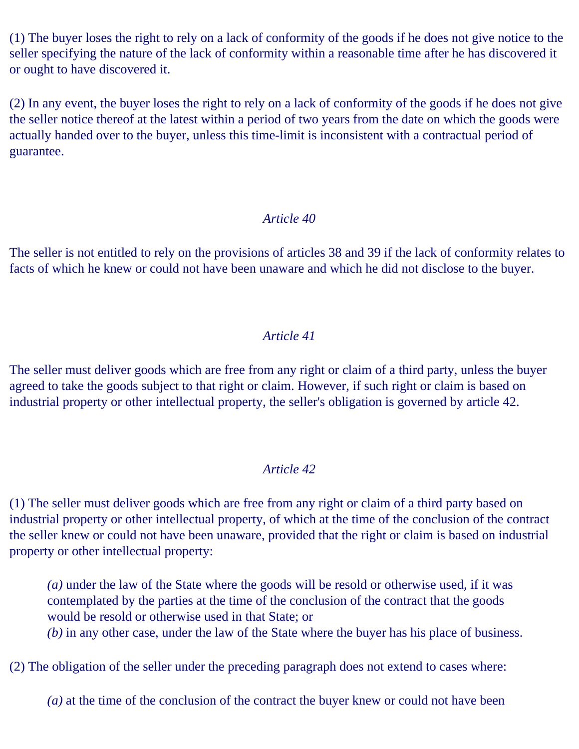(1) The buyer loses the right to rely on a lack of conformity of the goods if he does not give notice to the seller specifying the nature of the lack of conformity within a reasonable time after he has discovered it or ought to have discovered it.

(2) In any event, the buyer loses the right to rely on a lack of conformity of the goods if he does not give the seller notice thereof at the latest within a period of two years from the date on which the goods were actually handed over to the buyer, unless this time-limit is inconsistent with a contractual period of guarantee.

#### *Article 40*

The seller is not entitled to rely on the provisions of articles 38 and 39 if the lack of conformity relates to facts of which he knew or could not have been unaware and which he did not disclose to the buyer.

## *Article 41*

The seller must deliver goods which are free from any right or claim of a third party, unless the buyer agreed to take the goods subject to that right or claim. However, if such right or claim is based on industrial property or other intellectual property, the seller's obligation is governed by article 42.

## *Article 42*

(1) The seller must deliver goods which are free from any right or claim of a third party based on industrial property or other intellectual property, of which at the time of the conclusion of the contract the seller knew or could not have been unaware, provided that the right or claim is based on industrial property or other intellectual property:

*(a)* under the law of the State where the goods will be resold or otherwise used, if it was contemplated by the parties at the time of the conclusion of the contract that the goods would be resold or otherwise used in that State; or

*(b)* in any other case, under the law of the State where the buyer has his place of business.

(2) The obligation of the seller under the preceding paragraph does not extend to cases where:

*(a)* at the time of the conclusion of the contract the buyer knew or could not have been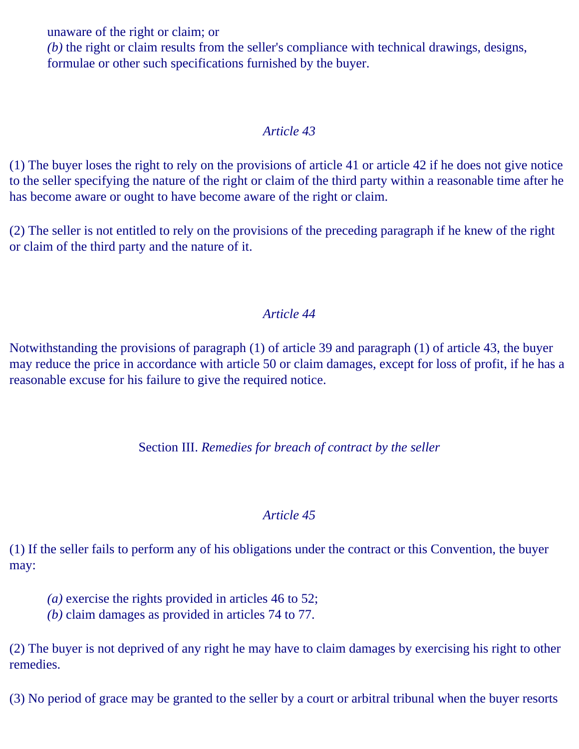unaware of the right or claim; or

*(b)* the right or claim results from the seller's compliance with technical drawings, designs, formulae or other such specifications furnished by the buyer.

#### *Article 43*

(1) The buyer loses the right to rely on the provisions of article 41 or article 42 if he does not give notice to the seller specifying the nature of the right or claim of the third party within a reasonable time after he has become aware or ought to have become aware of the right or claim.

(2) The seller is not entitled to rely on the provisions of the preceding paragraph if he knew of the right or claim of the third party and the nature of it.

## *Article 44*

Notwithstanding the provisions of paragraph (1) of article 39 and paragraph (1) of article 43, the buyer may reduce the price in accordance with article 50 or claim damages, except for loss of profit, if he has a reasonable excuse for his failure to give the required notice.

## Section III. *Remedies for breach of contract by the seller*

## *Article 45*

(1) If the seller fails to perform any of his obligations under the contract or this Convention, the buyer may:

*(a)* exercise the rights provided in articles 46 to 52;

*(b)* claim damages as provided in articles 74 to 77.

(2) The buyer is not deprived of any right he may have to claim damages by exercising his right to other remedies.

(3) No period of grace may be granted to the seller by a court or arbitral tribunal when the buyer resorts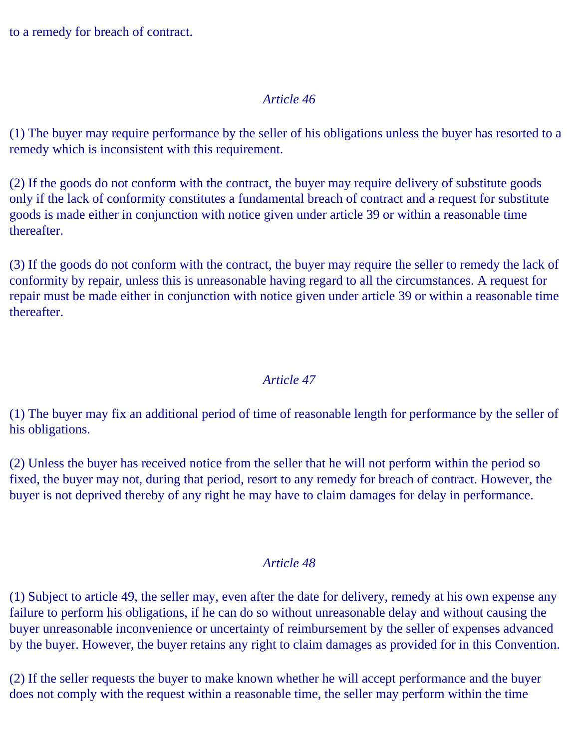to a remedy for breach of contract.

#### *Article 46*

(1) The buyer may require performance by the seller of his obligations unless the buyer has resorted to a remedy which is inconsistent with this requirement.

(2) If the goods do not conform with the contract, the buyer may require delivery of substitute goods only if the lack of conformity constitutes a fundamental breach of contract and a request for substitute goods is made either in conjunction with notice given under article 39 or within a reasonable time thereafter.

(3) If the goods do not conform with the contract, the buyer may require the seller to remedy the lack of conformity by repair, unless this is unreasonable having regard to all the circumstances. A request for repair must be made either in conjunction with notice given under article 39 or within a reasonable time thereafter.

#### *Article 47*

(1) The buyer may fix an additional period of time of reasonable length for performance by the seller of his obligations.

(2) Unless the buyer has received notice from the seller that he will not perform within the period so fixed, the buyer may not, during that period, resort to any remedy for breach of contract. However, the buyer is not deprived thereby of any right he may have to claim damages for delay in performance.

#### *Article 48*

(1) Subject to article 49, the seller may, even after the date for delivery, remedy at his own expense any failure to perform his obligations, if he can do so without unreasonable delay and without causing the buyer unreasonable inconvenience or uncertainty of reimbursement by the seller of expenses advanced by the buyer. However, the buyer retains any right to claim damages as provided for in this Convention.

(2) If the seller requests the buyer to make known whether he will accept performance and the buyer does not comply with the request within a reasonable time, the seller may perform within the time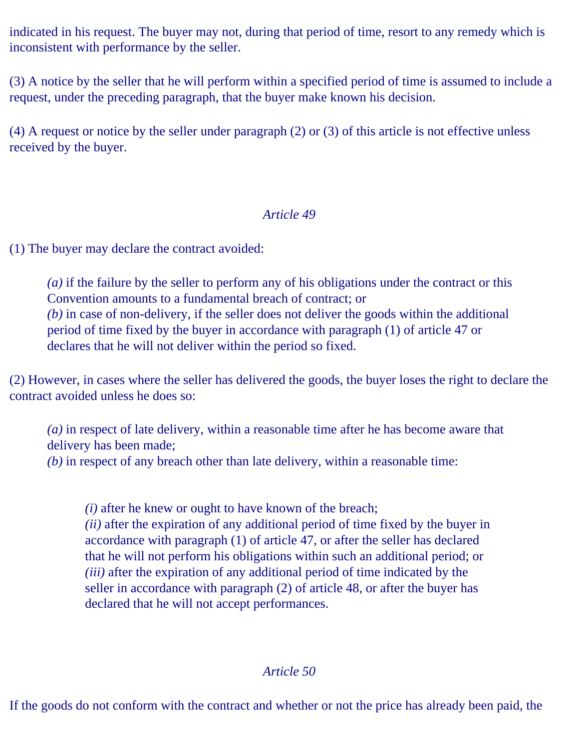indicated in his request. The buyer may not, during that period of time, resort to any remedy which is inconsistent with performance by the seller.

(3) A notice by the seller that he will perform within a specified period of time is assumed to include a request, under the preceding paragraph, that the buyer make known his decision.

(4) A request or notice by the seller under paragraph (2) or (3) of this article is not effective unless received by the buyer.

#### *Article 49*

(1) The buyer may declare the contract avoided:

*(a)* if the failure by the seller to perform any of his obligations under the contract or this Convention amounts to a fundamental breach of contract; or *(b)* in case of non-delivery, if the seller does not deliver the goods within the additional period of time fixed by the buyer in accordance with paragraph (1) of article 47 or declares that he will not deliver within the period so fixed.

(2) However, in cases where the seller has delivered the goods, the buyer loses the right to declare the contract avoided unless he does so:

*(a)* in respect of late delivery, within a reasonable time after he has become aware that delivery has been made;

*(b)* in respect of any breach other than late delivery, within a reasonable time:

*(i)* after he knew or ought to have known of the breach;

*(ii)* after the expiration of any additional period of time fixed by the buyer in accordance with paragraph (1) of article 47, or after the seller has declared that he will not perform his obligations within such an additional period; or *(iii)* after the expiration of any additional period of time indicated by the seller in accordance with paragraph (2) of article 48, or after the buyer has declared that he will not accept performances.

## *Article 50*

If the goods do not conform with the contract and whether or not the price has already been paid, the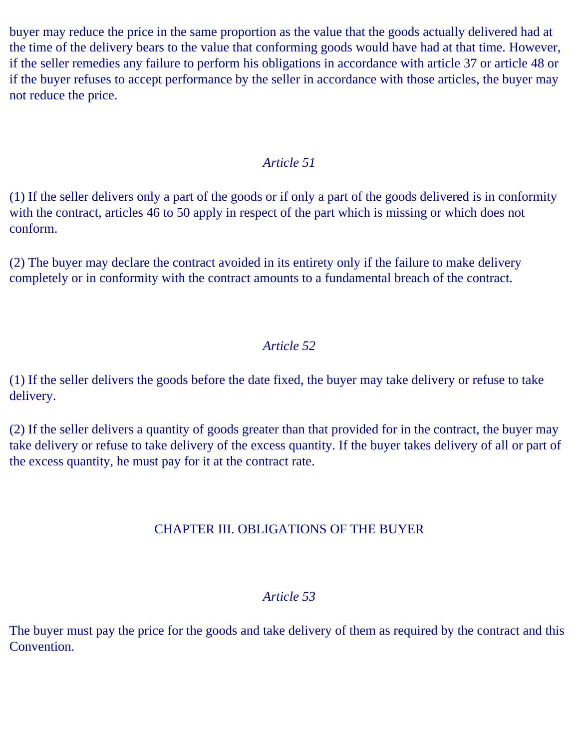buyer may reduce the price in the same proportion as the value that the goods actually delivered had at the time of the delivery bears to the value that conforming goods would have had at that time. However, if the seller remedies any failure to perform his obligations in accordance with article 37 or article 48 or if the buyer refuses to accept performance by the seller in accordance with those articles, the buyer may not reduce the price.

## *Article 51*

(1) If the seller delivers only a part of the goods or if only a part of the goods delivered is in conformity with the contract, articles 46 to 50 apply in respect of the part which is missing or which does not conform.

(2) The buyer may declare the contract avoided in its entirety only if the failure to make delivery completely or in conformity with the contract amounts to a fundamental breach of the contract.

## *Article 52*

(1) If the seller delivers the goods before the date fixed, the buyer may take delivery or refuse to take delivery.

(2) If the seller delivers a quantity of goods greater than that provided for in the contract, the buyer may take delivery or refuse to take delivery of the excess quantity. If the buyer takes delivery of all or part of the excess quantity, he must pay for it at the contract rate.

## CHAPTER III. OBLIGATIONS OF THE BUYER

## *Article 53*

The buyer must pay the price for the goods and take delivery of them as required by the contract and this Convention.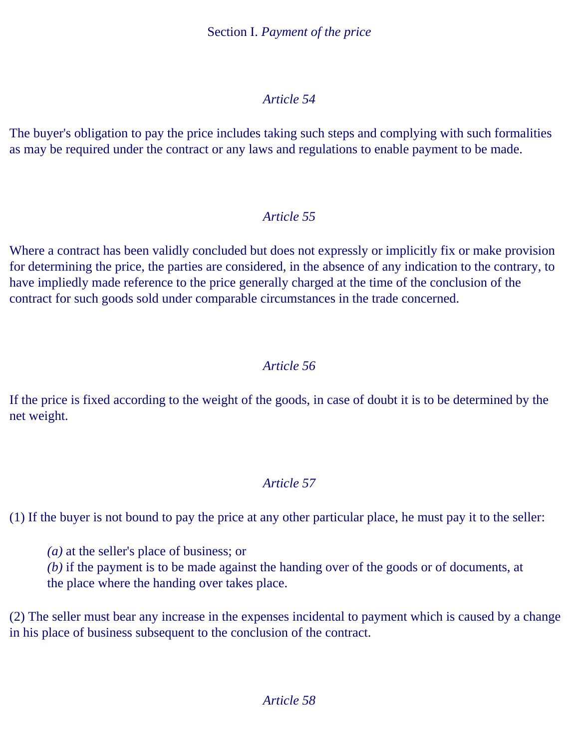The buyer's obligation to pay the price includes taking such steps and complying with such formalities as may be required under the contract or any laws and regulations to enable payment to be made.

## *Article 55*

Where a contract has been validly concluded but does not expressly or implicitly fix or make provision for determining the price, the parties are considered, in the absence of any indication to the contrary, to have impliedly made reference to the price generally charged at the time of the conclusion of the contract for such goods sold under comparable circumstances in the trade concerned.

## *Article 56*

If the price is fixed according to the weight of the goods, in case of doubt it is to be determined by the net weight.

## *Article 57*

(1) If the buyer is not bound to pay the price at any other particular place, he must pay it to the seller:

*(a)* at the seller's place of business; or

*(b)* if the payment is to be made against the handing over of the goods or of documents, at the place where the handing over takes place.

(2) The seller must bear any increase in the expenses incidental to payment which is caused by a change in his place of business subsequent to the conclusion of the contract.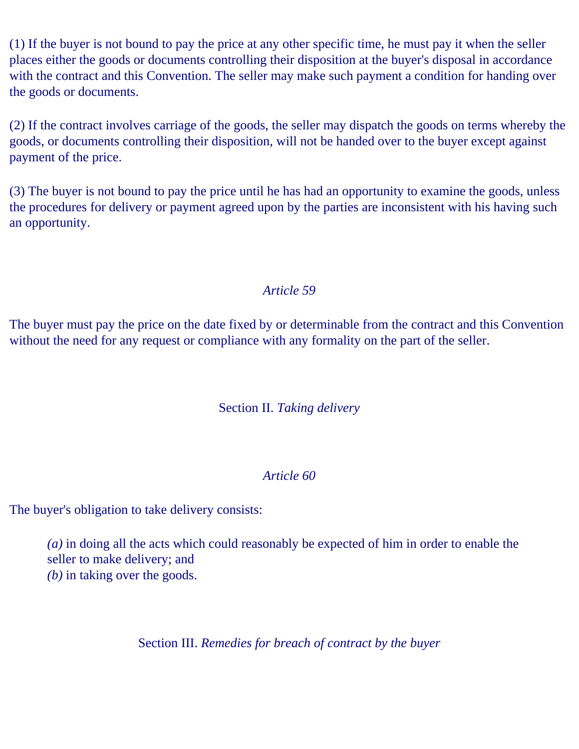(1) If the buyer is not bound to pay the price at any other specific time, he must pay it when the seller places either the goods or documents controlling their disposition at the buyer's disposal in accordance with the contract and this Convention. The seller may make such payment a condition for handing over the goods or documents.

(2) If the contract involves carriage of the goods, the seller may dispatch the goods on terms whereby the goods, or documents controlling their disposition, will not be handed over to the buyer except against payment of the price.

(3) The buyer is not bound to pay the price until he has had an opportunity to examine the goods, unless the procedures for delivery or payment agreed upon by the parties are inconsistent with his having such an opportunity.

## *Article 59*

The buyer must pay the price on the date fixed by or determinable from the contract and this Convention without the need for any request or compliance with any formality on the part of the seller.

## Section II. *Taking delivery*

## *Article 60*

The buyer's obligation to take delivery consists:

*(a)* in doing all the acts which could reasonably be expected of him in order to enable the seller to make delivery; and *(b)* in taking over the goods.

Section III. *Remedies for breach of contract by the buyer*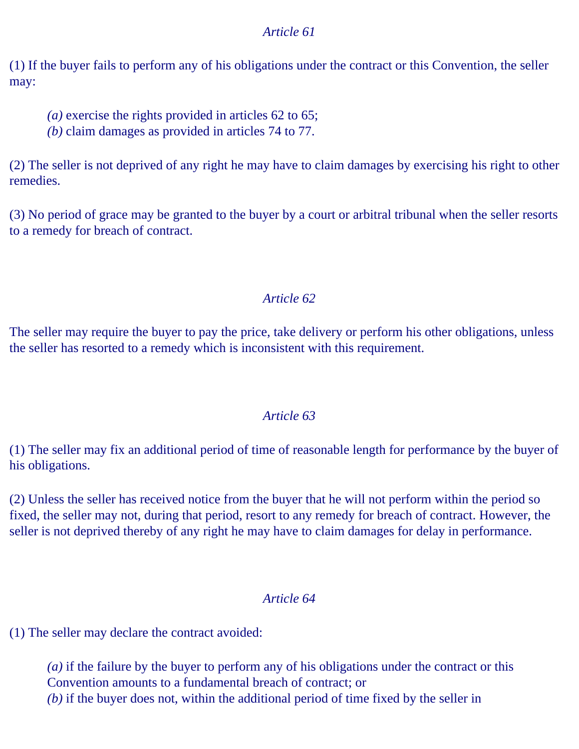(1) If the buyer fails to perform any of his obligations under the contract or this Convention, the seller may:

*(a)* exercise the rights provided in articles 62 to 65;

*(b)* claim damages as provided in articles 74 to 77.

(2) The seller is not deprived of any right he may have to claim damages by exercising his right to other remedies.

(3) No period of grace may be granted to the buyer by a court or arbitral tribunal when the seller resorts to a remedy for breach of contract.

## *Article 62*

The seller may require the buyer to pay the price, take delivery or perform his other obligations, unless the seller has resorted to a remedy which is inconsistent with this requirement.

## *Article 63*

(1) The seller may fix an additional period of time of reasonable length for performance by the buyer of his obligations.

(2) Unless the seller has received notice from the buyer that he will not perform within the period so fixed, the seller may not, during that period, resort to any remedy for breach of contract. However, the seller is not deprived thereby of any right he may have to claim damages for delay in performance.

## *Article 64*

(1) The seller may declare the contract avoided:

*(a)* if the failure by the buyer to perform any of his obligations under the contract or this Convention amounts to a fundamental breach of contract; or *(b)* if the buyer does not, within the additional period of time fixed by the seller in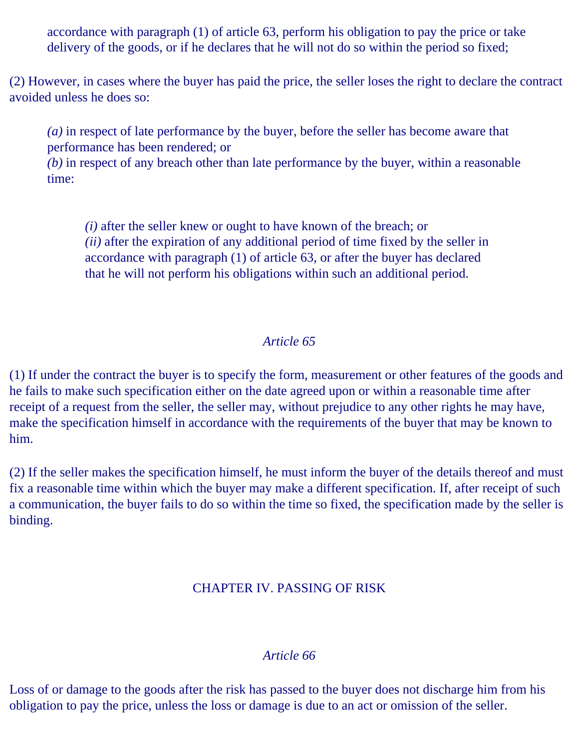accordance with paragraph (1) of article 63, perform his obligation to pay the price or take delivery of the goods, or if he declares that he will not do so within the period so fixed;

(2) However, in cases where the buyer has paid the price, the seller loses the right to declare the contract avoided unless he does so:

*(a)* in respect of late performance by the buyer, before the seller has become aware that performance has been rendered; or

*(b)* in respect of any breach other than late performance by the buyer, within a reasonable time:

*(i)* after the seller knew or ought to have known of the breach; or *(ii)* after the expiration of any additional period of time fixed by the seller in accordance with paragraph (1) of article 63, or after the buyer has declared that he will not perform his obligations within such an additional period.

## *Article 65*

(1) If under the contract the buyer is to specify the form, measurement or other features of the goods and he fails to make such specification either on the date agreed upon or within a reasonable time after receipt of a request from the seller, the seller may, without prejudice to any other rights he may have, make the specification himself in accordance with the requirements of the buyer that may be known to him.

(2) If the seller makes the specification himself, he must inform the buyer of the details thereof and must fix a reasonable time within which the buyer may make a different specification. If, after receipt of such a communication, the buyer fails to do so within the time so fixed, the specification made by the seller is binding.

#### CHAPTER IV. PASSING OF RISK

#### *Article 66*

Loss of or damage to the goods after the risk has passed to the buyer does not discharge him from his obligation to pay the price, unless the loss or damage is due to an act or omission of the seller.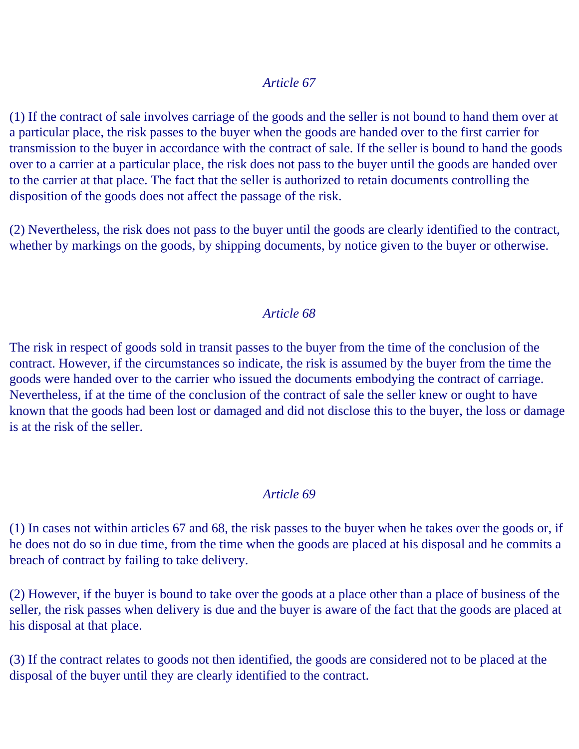(1) If the contract of sale involves carriage of the goods and the seller is not bound to hand them over at a particular place, the risk passes to the buyer when the goods are handed over to the first carrier for transmission to the buyer in accordance with the contract of sale. If the seller is bound to hand the goods over to a carrier at a particular place, the risk does not pass to the buyer until the goods are handed over to the carrier at that place. The fact that the seller is authorized to retain documents controlling the disposition of the goods does not affect the passage of the risk.

(2) Nevertheless, the risk does not pass to the buyer until the goods are clearly identified to the contract, whether by markings on the goods, by shipping documents, by notice given to the buyer or otherwise.

## *Article 68*

The risk in respect of goods sold in transit passes to the buyer from the time of the conclusion of the contract. However, if the circumstances so indicate, the risk is assumed by the buyer from the time the goods were handed over to the carrier who issued the documents embodying the contract of carriage. Nevertheless, if at the time of the conclusion of the contract of sale the seller knew or ought to have known that the goods had been lost or damaged and did not disclose this to the buyer, the loss or damage is at the risk of the seller.

## *Article 69*

(1) In cases not within articles 67 and 68, the risk passes to the buyer when he takes over the goods or, if he does not do so in due time, from the time when the goods are placed at his disposal and he commits a breach of contract by failing to take delivery.

(2) However, if the buyer is bound to take over the goods at a place other than a place of business of the seller, the risk passes when delivery is due and the buyer is aware of the fact that the goods are placed at his disposal at that place.

(3) If the contract relates to goods not then identified, the goods are considered not to be placed at the disposal of the buyer until they are clearly identified to the contract.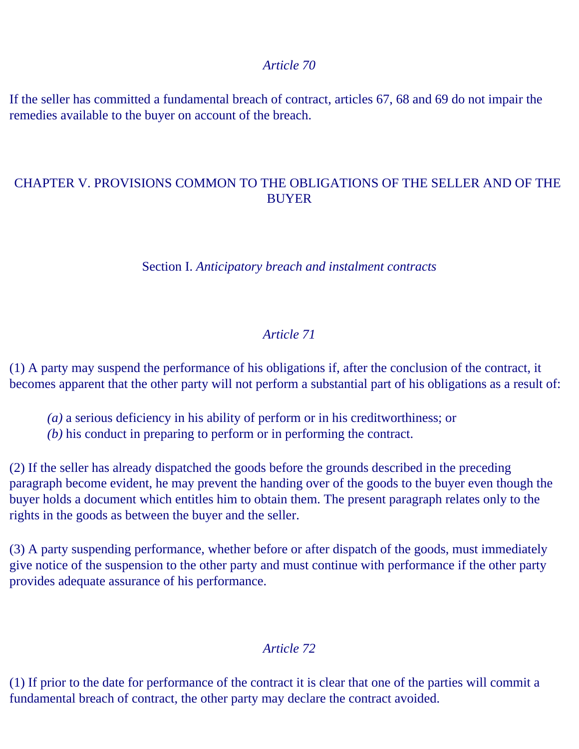If the seller has committed a fundamental breach of contract, articles 67, 68 and 69 do not impair the remedies available to the buyer on account of the breach.

#### CHAPTER V. PROVISIONS COMMON TO THE OBLIGATIONS OF THE SELLER AND OF THE BUYER

#### Section I. *Anticipatory breach and instalment contracts*

#### *Article 71*

(1) A party may suspend the performance of his obligations if, after the conclusion of the contract, it becomes apparent that the other party will not perform a substantial part of his obligations as a result of:

- *(a)* a serious deficiency in his ability of perform or in his creditworthiness; or
- *(b)* his conduct in preparing to perform or in performing the contract.

(2) If the seller has already dispatched the goods before the grounds described in the preceding paragraph become evident, he may prevent the handing over of the goods to the buyer even though the buyer holds a document which entitles him to obtain them. The present paragraph relates only to the rights in the goods as between the buyer and the seller.

(3) A party suspending performance, whether before or after dispatch of the goods, must immediately give notice of the suspension to the other party and must continue with performance if the other party provides adequate assurance of his performance.

#### *Article 72*

(1) If prior to the date for performance of the contract it is clear that one of the parties will commit a fundamental breach of contract, the other party may declare the contract avoided.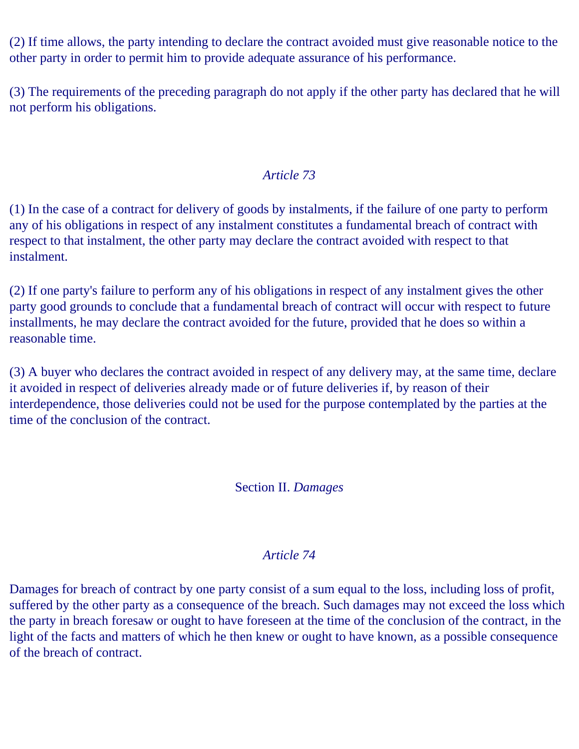(2) If time allows, the party intending to declare the contract avoided must give reasonable notice to the other party in order to permit him to provide adequate assurance of his performance.

(3) The requirements of the preceding paragraph do not apply if the other party has declared that he will not perform his obligations.

## *Article 73*

(1) In the case of a contract for delivery of goods by instalments, if the failure of one party to perform any of his obligations in respect of any instalment constitutes a fundamental breach of contract with respect to that instalment, the other party may declare the contract avoided with respect to that instalment.

(2) If one party's failure to perform any of his obligations in respect of any instalment gives the other party good grounds to conclude that a fundamental breach of contract will occur with respect to future installments, he may declare the contract avoided for the future, provided that he does so within a reasonable time.

(3) A buyer who declares the contract avoided in respect of any delivery may, at the same time, declare it avoided in respect of deliveries already made or of future deliveries if, by reason of their interdependence, those deliveries could not be used for the purpose contemplated by the parties at the time of the conclusion of the contract.

Section II. *Damages*

## *Article 74*

Damages for breach of contract by one party consist of a sum equal to the loss, including loss of profit, suffered by the other party as a consequence of the breach. Such damages may not exceed the loss which the party in breach foresaw or ought to have foreseen at the time of the conclusion of the contract, in the light of the facts and matters of which he then knew or ought to have known, as a possible consequence of the breach of contract.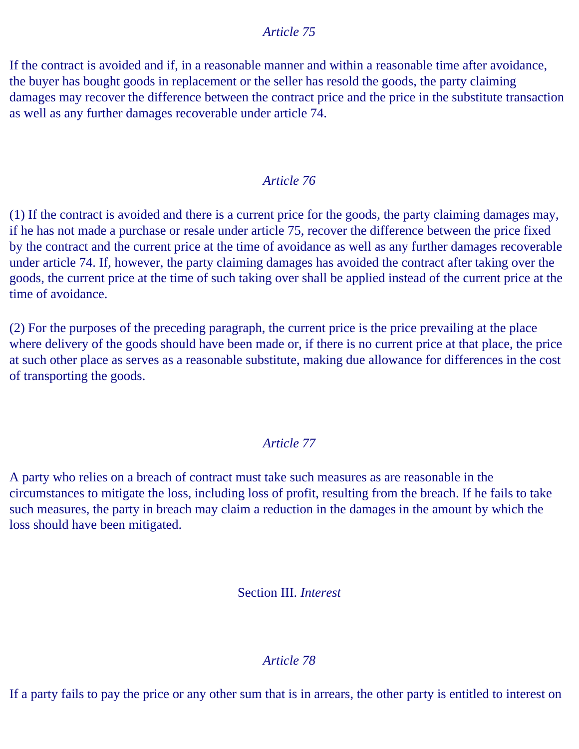If the contract is avoided and if, in a reasonable manner and within a reasonable time after avoidance, the buyer has bought goods in replacement or the seller has resold the goods, the party claiming damages may recover the difference between the contract price and the price in the substitute transaction as well as any further damages recoverable under article 74.

#### *Article 76*

(1) If the contract is avoided and there is a current price for the goods, the party claiming damages may, if he has not made a purchase or resale under article 75, recover the difference between the price fixed by the contract and the current price at the time of avoidance as well as any further damages recoverable under article 74. If, however, the party claiming damages has avoided the contract after taking over the goods, the current price at the time of such taking over shall be applied instead of the current price at the time of avoidance.

(2) For the purposes of the preceding paragraph, the current price is the price prevailing at the place where delivery of the goods should have been made or, if there is no current price at that place, the price at such other place as serves as a reasonable substitute, making due allowance for differences in the cost of transporting the goods.

#### *Article 77*

A party who relies on a breach of contract must take such measures as are reasonable in the circumstances to mitigate the loss, including loss of profit, resulting from the breach. If he fails to take such measures, the party in breach may claim a reduction in the damages in the amount by which the loss should have been mitigated.

Section III. *Interest*

#### *Article 78*

If a party fails to pay the price or any other sum that is in arrears, the other party is entitled to interest on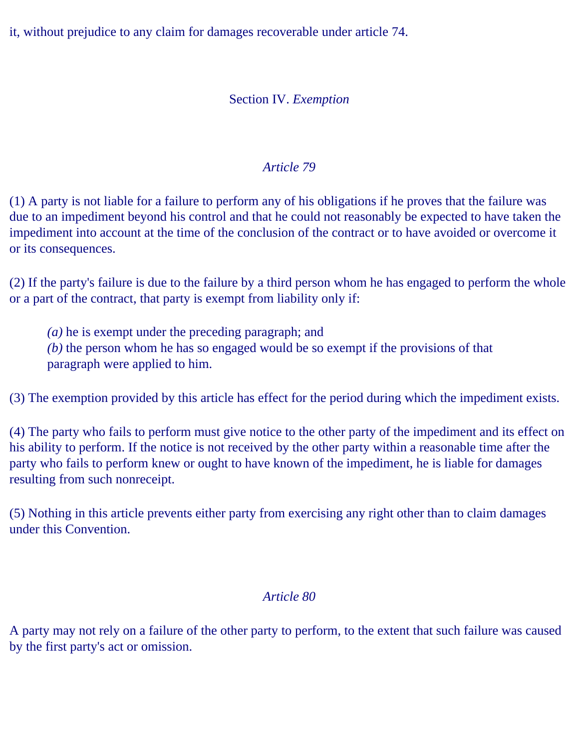it, without prejudice to any claim for damages recoverable under article 74.

### Section IV. *Exemption*

#### *Article 79*

(1) A party is not liable for a failure to perform any of his obligations if he proves that the failure was due to an impediment beyond his control and that he could not reasonably be expected to have taken the impediment into account at the time of the conclusion of the contract or to have avoided or overcome it or its consequences.

(2) If the party's failure is due to the failure by a third person whom he has engaged to perform the whole or a part of the contract, that party is exempt from liability only if:

*(a)* he is exempt under the preceding paragraph; and *(b)* the person whom he has so engaged would be so exempt if the provisions of that paragraph were applied to him.

(3) The exemption provided by this article has effect for the period during which the impediment exists.

(4) The party who fails to perform must give notice to the other party of the impediment and its effect on his ability to perform. If the notice is not received by the other party within a reasonable time after the party who fails to perform knew or ought to have known of the impediment, he is liable for damages resulting from such nonreceipt.

(5) Nothing in this article prevents either party from exercising any right other than to claim damages under this Convention.

#### *Article 80*

A party may not rely on a failure of the other party to perform, to the extent that such failure was caused by the first party's act or omission.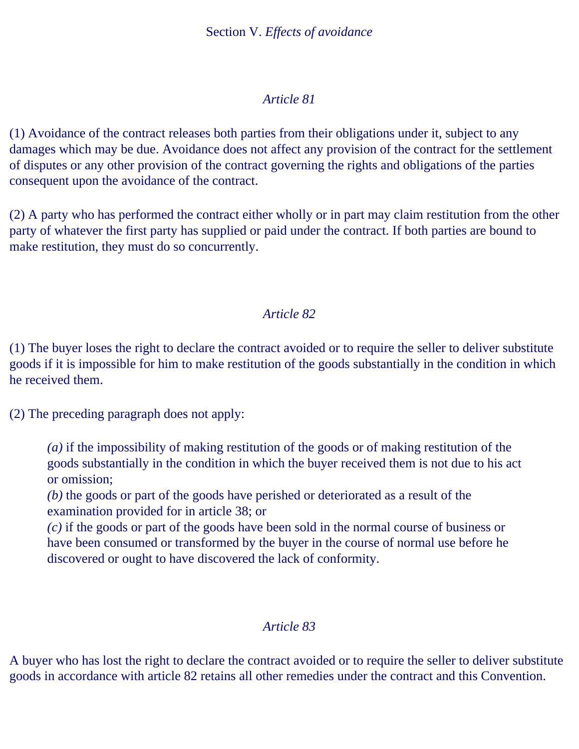#### Section V. *Effects of avoidance*

#### *Article 81*

(1) Avoidance of the contract releases both parties from their obligations under it, subject to any damages which may be due. Avoidance does not affect any provision of the contract for the settlement of disputes or any other provision of the contract governing the rights and obligations of the parties consequent upon the avoidance of the contract.

(2) A party who has performed the contract either wholly or in part may claim restitution from the other party of whatever the first party has supplied or paid under the contract. If both parties are bound to make restitution, they must do so concurrently.

#### *Article 82*

(1) The buyer loses the right to declare the contract avoided or to require the seller to deliver substitute goods if it is impossible for him to make restitution of the goods substantially in the condition in which he received them.

(2) The preceding paragraph does not apply:

*(a)* if the impossibility of making restitution of the goods or of making restitution of the goods substantially in the condition in which the buyer received them is not due to his act or omission;

*(b)* the goods or part of the goods have perished or deteriorated as a result of the examination provided for in article 38; or

*(c)* if the goods or part of the goods have been sold in the normal course of business or have been consumed or transformed by the buyer in the course of normal use before he discovered or ought to have discovered the lack of conformity.

## *Article 83*

A buyer who has lost the right to declare the contract avoided or to require the seller to deliver substitute goods in accordance with article 82 retains all other remedies under the contract and this Convention.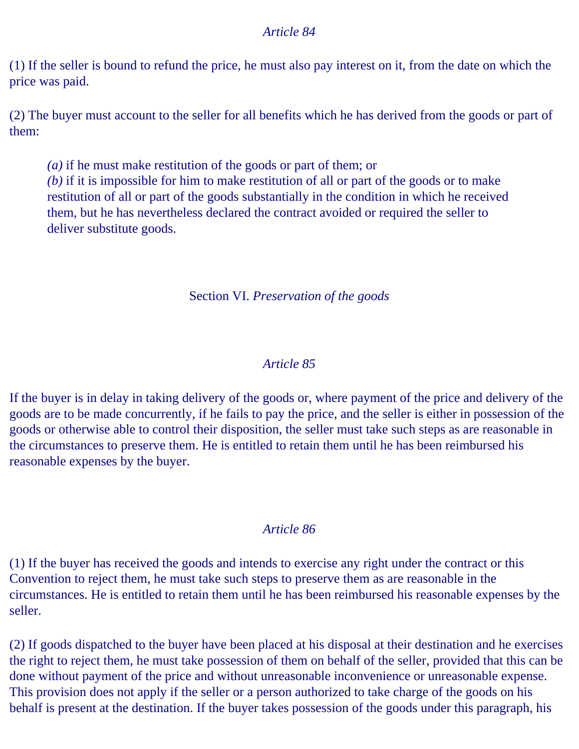(1) If the seller is bound to refund the price, he must also pay interest on it, from the date on which the price was paid.

(2) The buyer must account to the seller for all benefits which he has derived from the goods or part of them:

*(a)* if he must make restitution of the goods or part of them; or *(b)* if it is impossible for him to make restitution of all or part of the goods or to make restitution of all or part of the goods substantially in the condition in which he received them, but he has nevertheless declared the contract avoided or required the seller to deliver substitute goods.

Section VI. *Preservation of the goods*

## *Article 85*

If the buyer is in delay in taking delivery of the goods or, where payment of the price and delivery of the goods are to be made concurrently, if he fails to pay the price, and the seller is either in possession of the goods or otherwise able to control their disposition, the seller must take such steps as are reasonable in the circumstances to preserve them. He is entitled to retain them until he has been reimbursed his reasonable expenses by the buyer.

## *Article 86*

(1) If the buyer has received the goods and intends to exercise any right under the contract or this Convention to reject them, he must take such steps to preserve them as are reasonable in the circumstances. He is entitled to retain them until he has been reimbursed his reasonable expenses by the seller.

(2) If goods dispatched to the buyer have been placed at his disposal at their destination and he exercises the right to reject them, he must take possession of them on behalf of the seller, provided that this can be done without payment of the price and without unreasonable inconvenience or unreasonable expense. This provision does not apply if the seller or a person authorized to take charge of the goods on his behalf is present at the destination. If the buyer takes possession of the goods under this paragraph, his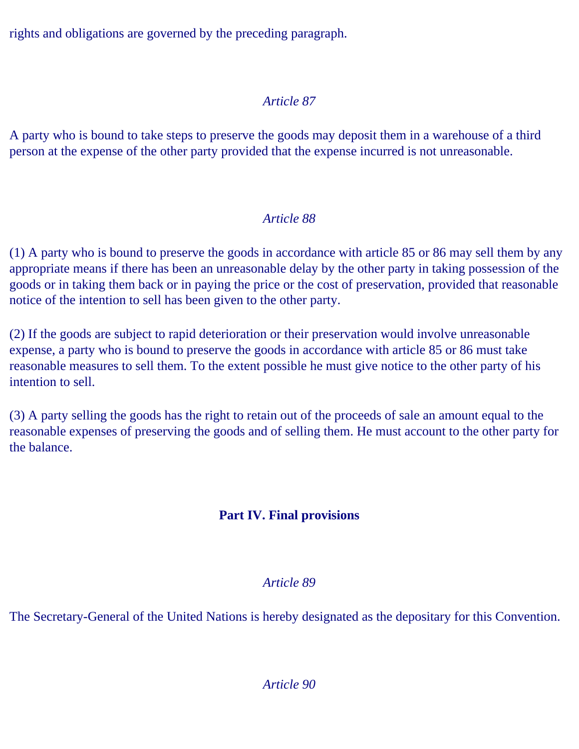rights and obligations are governed by the preceding paragraph.

## *Article 87*

A party who is bound to take steps to preserve the goods may deposit them in a warehouse of a third person at the expense of the other party provided that the expense incurred is not unreasonable.

## *Article 88*

(1) A party who is bound to preserve the goods in accordance with article 85 or 86 may sell them by any appropriate means if there has been an unreasonable delay by the other party in taking possession of the goods or in taking them back or in paying the price or the cost of preservation, provided that reasonable notice of the intention to sell has been given to the other party.

(2) If the goods are subject to rapid deterioration or their preservation would involve unreasonable expense, a party who is bound to preserve the goods in accordance with article 85 or 86 must take reasonable measures to sell them. To the extent possible he must give notice to the other party of his intention to sell.

(3) A party selling the goods has the right to retain out of the proceeds of sale an amount equal to the reasonable expenses of preserving the goods and of selling them. He must account to the other party for the balance.

## **Part IV. Final provisions**

## *Article 89*

The Secretary-General of the United Nations is hereby designated as the depositary for this Convention.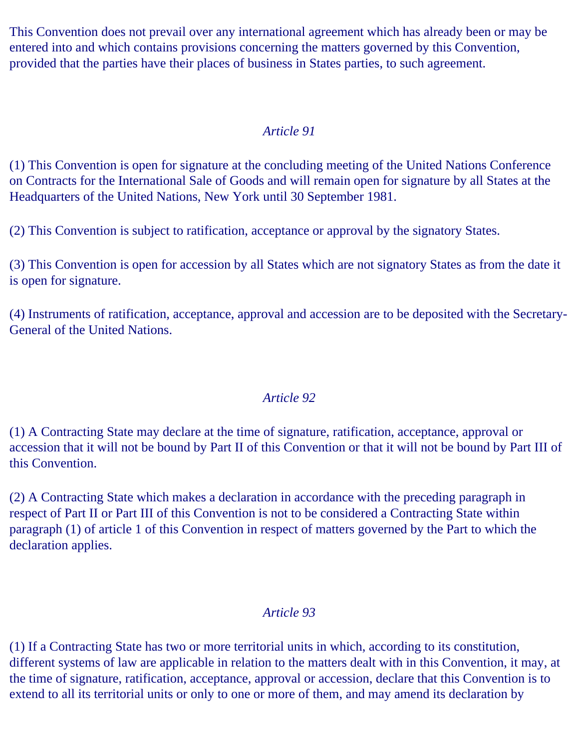This Convention does not prevail over any international agreement which has already been or may be entered into and which contains provisions concerning the matters governed by this Convention, provided that the parties have their places of business in States parties, to such agreement.

## *Article 91*

(1) This Convention is open for signature at the concluding meeting of the United Nations Conference on Contracts for the International Sale of Goods and will remain open for signature by all States at the Headquarters of the United Nations, New York until 30 September 1981.

(2) This Convention is subject to ratification, acceptance or approval by the signatory States.

(3) This Convention is open for accession by all States which are not signatory States as from the date it is open for signature.

(4) Instruments of ratification, acceptance, approval and accession are to be deposited with the Secretary-General of the United Nations.

## *Article 92*

(1) A Contracting State may declare at the time of signature, ratification, acceptance, approval or accession that it will not be bound by Part II of this Convention or that it will not be bound by Part III of this Convention.

(2) A Contracting State which makes a declaration in accordance with the preceding paragraph in respect of Part II or Part III of this Convention is not to be considered a Contracting State within paragraph (1) of article 1 of this Convention in respect of matters governed by the Part to which the declaration applies.

## *Article 93*

(1) If a Contracting State has two or more territorial units in which, according to its constitution, different systems of law are applicable in relation to the matters dealt with in this Convention, it may, at the time of signature, ratification, acceptance, approval or accession, declare that this Convention is to extend to all its territorial units or only to one or more of them, and may amend its declaration by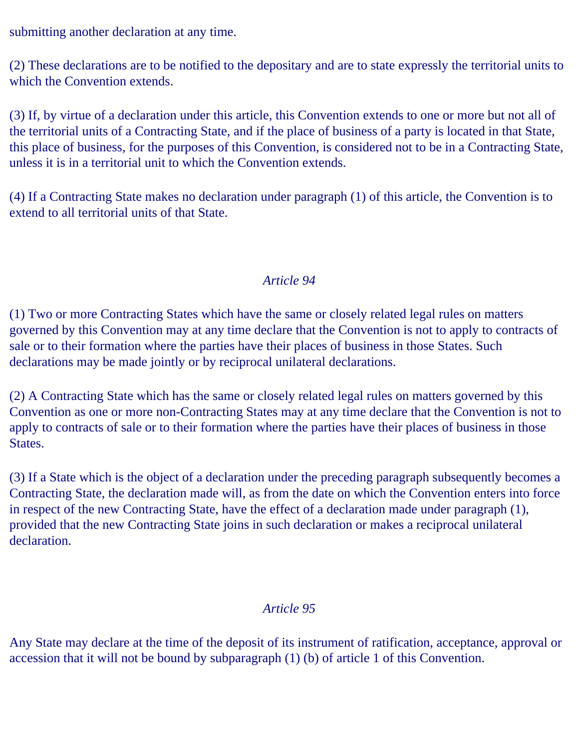submitting another declaration at any time.

(2) These declarations are to be notified to the depositary and are to state expressly the territorial units to which the Convention extends.

(3) If, by virtue of a declaration under this article, this Convention extends to one or more but not all of the territorial units of a Contracting State, and if the place of business of a party is located in that State, this place of business, for the purposes of this Convention, is considered not to be in a Contracting State, unless it is in a territorial unit to which the Convention extends.

(4) If a Contracting State makes no declaration under paragraph (1) of this article, the Convention is to extend to all territorial units of that State.

## *Article 94*

(1) Two or more Contracting States which have the same or closely related legal rules on matters governed by this Convention may at any time declare that the Convention is not to apply to contracts of sale or to their formation where the parties have their places of business in those States. Such declarations may be made jointly or by reciprocal unilateral declarations.

(2) A Contracting State which has the same or closely related legal rules on matters governed by this Convention as one or more non-Contracting States may at any time declare that the Convention is not to apply to contracts of sale or to their formation where the parties have their places of business in those States.

(3) If a State which is the object of a declaration under the preceding paragraph subsequently becomes a Contracting State, the declaration made will, as from the date on which the Convention enters into force in respect of the new Contracting State, have the effect of a declaration made under paragraph (1), provided that the new Contracting State joins in such declaration or makes a reciprocal unilateral declaration.

## *Article 95*

Any State may declare at the time of the deposit of its instrument of ratification, acceptance, approval or accession that it will not be bound by subparagraph (1) (b) of article 1 of this Convention.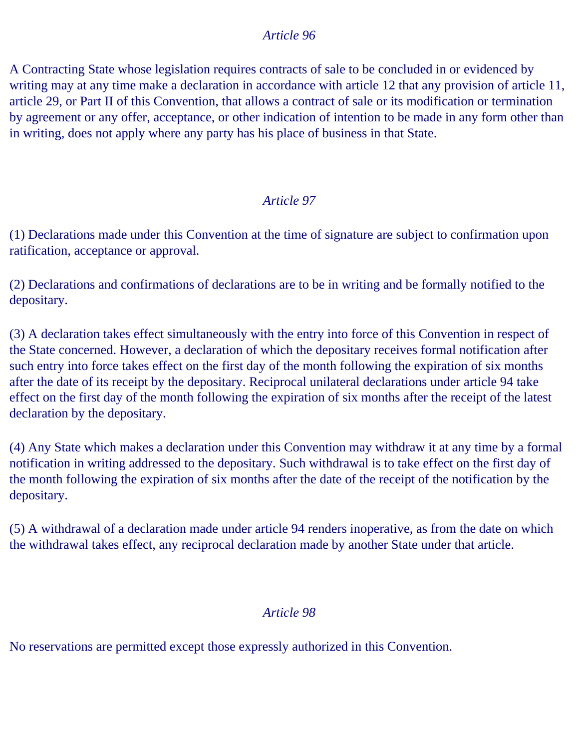A Contracting State whose legislation requires contracts of sale to be concluded in or evidenced by writing may at any time make a declaration in accordance with article 12 that any provision of article 11, article 29, or Part II of this Convention, that allows a contract of sale or its modification or termination by agreement or any offer, acceptance, or other indication of intention to be made in any form other than in writing, does not apply where any party has his place of business in that State.

## *Article 97*

(1) Declarations made under this Convention at the time of signature are subject to confirmation upon ratification, acceptance or approval.

(2) Declarations and confirmations of declarations are to be in writing and be formally notified to the depositary.

(3) A declaration takes effect simultaneously with the entry into force of this Convention in respect of the State concerned. However, a declaration of which the depositary receives formal notification after such entry into force takes effect on the first day of the month following the expiration of six months after the date of its receipt by the depositary. Reciprocal unilateral declarations under article 94 take effect on the first day of the month following the expiration of six months after the receipt of the latest declaration by the depositary.

(4) Any State which makes a declaration under this Convention may withdraw it at any time by a formal notification in writing addressed to the depositary. Such withdrawal is to take effect on the first day of the month following the expiration of six months after the date of the receipt of the notification by the depositary.

(5) A withdrawal of a declaration made under article 94 renders inoperative, as from the date on which the withdrawal takes effect, any reciprocal declaration made by another State under that article.

## *Article 98*

No reservations are permitted except those expressly authorized in this Convention.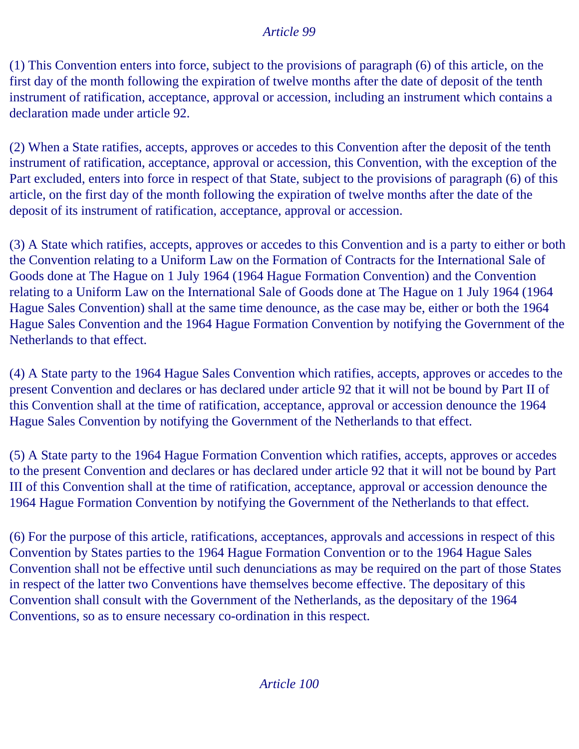(1) This Convention enters into force, subject to the provisions of paragraph (6) of this article, on the first day of the month following the expiration of twelve months after the date of deposit of the tenth instrument of ratification, acceptance, approval or accession, including an instrument which contains a declaration made under article 92.

(2) When a State ratifies, accepts, approves or accedes to this Convention after the deposit of the tenth instrument of ratification, acceptance, approval or accession, this Convention, with the exception of the Part excluded, enters into force in respect of that State, subject to the provisions of paragraph (6) of this article, on the first day of the month following the expiration of twelve months after the date of the deposit of its instrument of ratification, acceptance, approval or accession.

(3) A State which ratifies, accepts, approves or accedes to this Convention and is a party to either or both the Convention relating to a Uniform Law on the Formation of Contracts for the International Sale of Goods done at The Hague on 1 July 1964 (1964 Hague Formation Convention) and the Convention relating to a Uniform Law on the International Sale of Goods done at The Hague on 1 July 1964 (1964 Hague Sales Convention) shall at the same time denounce, as the case may be, either or both the 1964 Hague Sales Convention and the 1964 Hague Formation Convention by notifying the Government of the Netherlands to that effect.

(4) A State party to the 1964 Hague Sales Convention which ratifies, accepts, approves or accedes to the present Convention and declares or has declared under article 92 that it will not be bound by Part II of this Convention shall at the time of ratification, acceptance, approval or accession denounce the 1964 Hague Sales Convention by notifying the Government of the Netherlands to that effect.

(5) A State party to the 1964 Hague Formation Convention which ratifies, accepts, approves or accedes to the present Convention and declares or has declared under article 92 that it will not be bound by Part III of this Convention shall at the time of ratification, acceptance, approval or accession denounce the 1964 Hague Formation Convention by notifying the Government of the Netherlands to that effect.

(6) For the purpose of this article, ratifications, acceptances, approvals and accessions in respect of this Convention by States parties to the 1964 Hague Formation Convention or to the 1964 Hague Sales Convention shall not be effective until such denunciations as may be required on the part of those States in respect of the latter two Conventions have themselves become effective. The depositary of this Convention shall consult with the Government of the Netherlands, as the depositary of the 1964 Conventions, so as to ensure necessary co-ordination in this respect.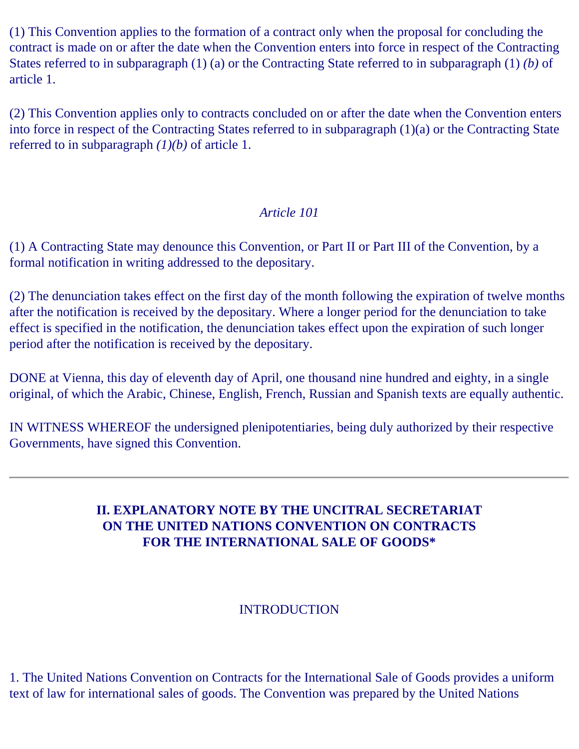(1) This Convention applies to the formation of a contract only when the proposal for concluding the contract is made on or after the date when the Convention enters into force in respect of the Contracting States referred to in subparagraph (1) (a) or the Contracting State referred to in subparagraph (1) *(b)* of article 1.

(2) This Convention applies only to contracts concluded on or after the date when the Convention enters into force in respect of the Contracting States referred to in subparagraph (1)(a) or the Contracting State referred to in subparagraph *(1)(b)* of article 1.

## *Article 101*

(1) A Contracting State may denounce this Convention, or Part II or Part III of the Convention, by a formal notification in writing addressed to the depositary.

(2) The denunciation takes effect on the first day of the month following the expiration of twelve months after the notification is received by the depositary. Where a longer period for the denunciation to take effect is specified in the notification, the denunciation takes effect upon the expiration of such longer period after the notification is received by the depositary.

DONE at Vienna, this day of eleventh day of April, one thousand nine hundred and eighty, in a single original, of which the Arabic, Chinese, English, French, Russian and Spanish texts are equally authentic.

IN WITNESS WHEREOF the undersigned plenipotentiaries, being duly authorized by their respective Governments, have signed this Convention.

#### **II. EXPLANATORY NOTE BY THE UNCITRAL SECRETARIAT ON THE UNITED NATIONS CONVENTION ON CONTRACTS FOR THE INTERNATIONAL SALE OF GOODS\***

## INTRODUCTION

1. The United Nations Convention on Contracts for the International Sale of Goods provides a uniform text of law for international sales of goods. The Convention was prepared by the United Nations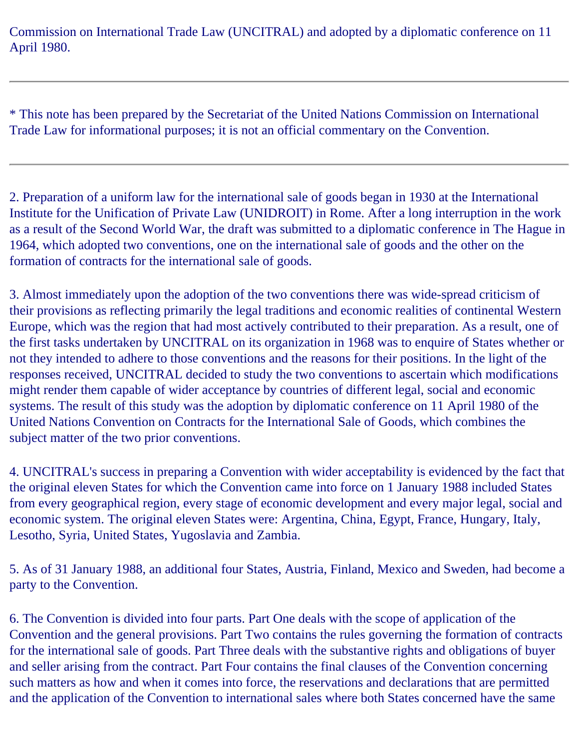Commission on International Trade Law (UNCITRAL) and adopted by a diplomatic conference on 11 April 1980.

\* This note has been prepared by the Secretariat of the United Nations Commission on International Trade Law for informational purposes; it is not an official commentary on the Convention.

2. Preparation of a uniform law for the international sale of goods began in 1930 at the International Institute for the Unification of Private Law (UNIDROIT) in Rome. After a long interruption in the work as a result of the Second World War, the draft was submitted to a diplomatic conference in The Hague in 1964, which adopted two conventions, one on the international sale of goods and the other on the formation of contracts for the international sale of goods.

3. Almost immediately upon the adoption of the two conventions there was wide-spread criticism of their provisions as reflecting primarily the legal traditions and economic realities of continental Western Europe, which was the region that had most actively contributed to their preparation. As a result, one of the first tasks undertaken by UNCITRAL on its organization in 1968 was to enquire of States whether or not they intended to adhere to those conventions and the reasons for their positions. In the light of the responses received, UNCITRAL decided to study the two conventions to ascertain which modifications might render them capable of wider acceptance by countries of different legal, social and economic systems. The result of this study was the adoption by diplomatic conference on 11 April 1980 of the United Nations Convention on Contracts for the International Sale of Goods, which combines the subject matter of the two prior conventions.

4. UNCITRAL's success in preparing a Convention with wider acceptability is evidenced by the fact that the original eleven States for which the Convention came into force on 1 January 1988 included States from every geographical region, every stage of economic development and every major legal, social and economic system. The original eleven States were: Argentina, China, Egypt, France, Hungary, Italy, Lesotho, Syria, United States, Yugoslavia and Zambia.

5. As of 31 January 1988, an additional four States, Austria, Finland, Mexico and Sweden, had become a party to the Convention.

6. The Convention is divided into four parts. Part One deals with the scope of application of the Convention and the general provisions. Part Two contains the rules governing the formation of contracts for the international sale of goods. Part Three deals with the substantive rights and obligations of buyer and seller arising from the contract. Part Four contains the final clauses of the Convention concerning such matters as how and when it comes into force, the reservations and declarations that are permitted and the application of the Convention to international sales where both States concerned have the same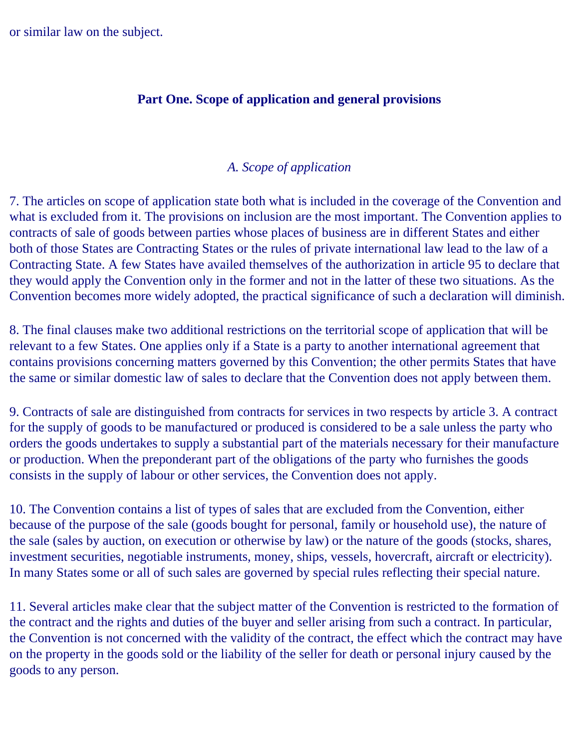or similar law on the subject.

### **Part One. Scope of application and general provisions**

#### *A. Scope of application*

7. The articles on scope of application state both what is included in the coverage of the Convention and what is excluded from it. The provisions on inclusion are the most important. The Convention applies to contracts of sale of goods between parties whose places of business are in different States and either both of those States are Contracting States or the rules of private international law lead to the law of a Contracting State. A few States have availed themselves of the authorization in article 95 to declare that they would apply the Convention only in the former and not in the latter of these two situations. As the Convention becomes more widely adopted, the practical significance of such a declaration will diminish.

8. The final clauses make two additional restrictions on the territorial scope of application that will be relevant to a few States. One applies only if a State is a party to another international agreement that contains provisions concerning matters governed by this Convention; the other permits States that have the same or similar domestic law of sales to declare that the Convention does not apply between them.

9. Contracts of sale are distinguished from contracts for services in two respects by article 3. A contract for the supply of goods to be manufactured or produced is considered to be a sale unless the party who orders the goods undertakes to supply a substantial part of the materials necessary for their manufacture or production. When the preponderant part of the obligations of the party who furnishes the goods consists in the supply of labour or other services, the Convention does not apply.

10. The Convention contains a list of types of sales that are excluded from the Convention, either because of the purpose of the sale (goods bought for personal, family or household use), the nature of the sale (sales by auction, on execution or otherwise by law) or the nature of the goods (stocks, shares, investment securities, negotiable instruments, money, ships, vessels, hovercraft, aircraft or electricity). In many States some or all of such sales are governed by special rules reflecting their special nature.

11. Several articles make clear that the subject matter of the Convention is restricted to the formation of the contract and the rights and duties of the buyer and seller arising from such a contract. In particular, the Convention is not concerned with the validity of the contract, the effect which the contract may have on the property in the goods sold or the liability of the seller for death or personal injury caused by the goods to any person.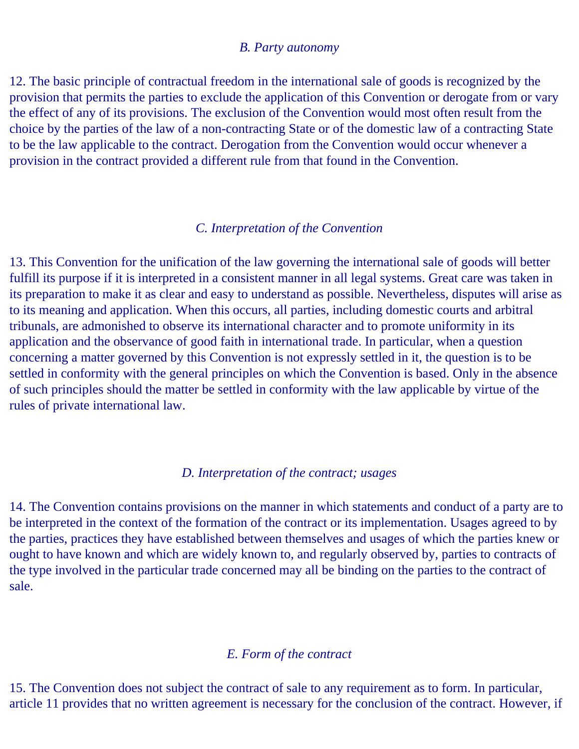#### *B. Party autonomy*

12. The basic principle of contractual freedom in the international sale of goods is recognized by the provision that permits the parties to exclude the application of this Convention or derogate from or vary the effect of any of its provisions. The exclusion of the Convention would most often result from the choice by the parties of the law of a non-contracting State or of the domestic law of a contracting State to be the law applicable to the contract. Derogation from the Convention would occur whenever a provision in the contract provided a different rule from that found in the Convention.

#### *C. Interpretation of the Convention*

13. This Convention for the unification of the law governing the international sale of goods will better fulfill its purpose if it is interpreted in a consistent manner in all legal systems. Great care was taken in its preparation to make it as clear and easy to understand as possible. Nevertheless, disputes will arise as to its meaning and application. When this occurs, all parties, including domestic courts and arbitral tribunals, are admonished to observe its international character and to promote uniformity in its application and the observance of good faith in international trade. In particular, when a question concerning a matter governed by this Convention is not expressly settled in it, the question is to be settled in conformity with the general principles on which the Convention is based. Only in the absence of such principles should the matter be settled in conformity with the law applicable by virtue of the rules of private international law.

#### *D. Interpretation of the contract; usages*

14. The Convention contains provisions on the manner in which statements and conduct of a party are to be interpreted in the context of the formation of the contract or its implementation. Usages agreed to by the parties, practices they have established between themselves and usages of which the parties knew or ought to have known and which are widely known to, and regularly observed by, parties to contracts of the type involved in the particular trade concerned may all be binding on the parties to the contract of sale.

#### *E. Form of the contract*

15. The Convention does not subject the contract of sale to any requirement as to form. In particular, article 11 provides that no written agreement is necessary for the conclusion of the contract. However, if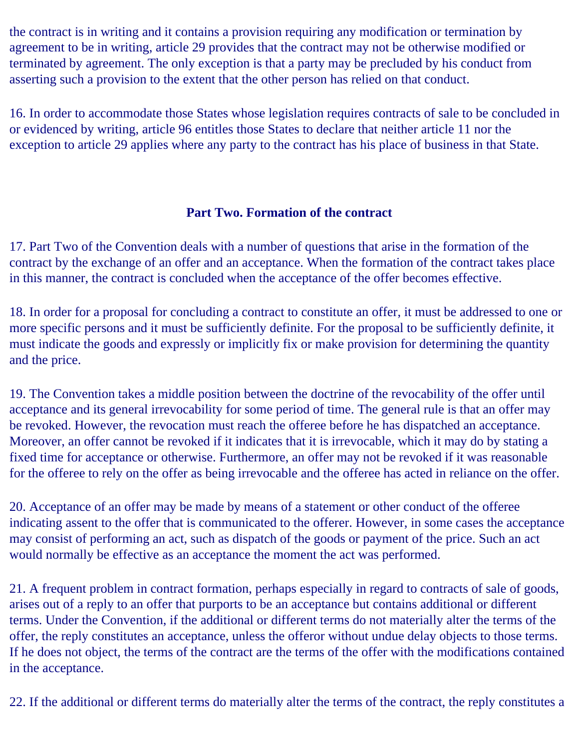the contract is in writing and it contains a provision requiring any modification or termination by agreement to be in writing, article 29 provides that the contract may not be otherwise modified or terminated by agreement. The only exception is that a party may be precluded by his conduct from asserting such a provision to the extent that the other person has relied on that conduct.

16. In order to accommodate those States whose legislation requires contracts of sale to be concluded in or evidenced by writing, article 96 entitles those States to declare that neither article 11 nor the exception to article 29 applies where any party to the contract has his place of business in that State.

## **Part Two. Formation of the contract**

17. Part Two of the Convention deals with a number of questions that arise in the formation of the contract by the exchange of an offer and an acceptance. When the formation of the contract takes place in this manner, the contract is concluded when the acceptance of the offer becomes effective.

18. In order for a proposal for concluding a contract to constitute an offer, it must be addressed to one or more specific persons and it must be sufficiently definite. For the proposal to be sufficiently definite, it must indicate the goods and expressly or implicitly fix or make provision for determining the quantity and the price.

19. The Convention takes a middle position between the doctrine of the revocability of the offer until acceptance and its general irrevocability for some period of time. The general rule is that an offer may be revoked. However, the revocation must reach the offeree before he has dispatched an acceptance. Moreover, an offer cannot be revoked if it indicates that it is irrevocable, which it may do by stating a fixed time for acceptance or otherwise. Furthermore, an offer may not be revoked if it was reasonable for the offeree to rely on the offer as being irrevocable and the offeree has acted in reliance on the offer.

20. Acceptance of an offer may be made by means of a statement or other conduct of the offeree indicating assent to the offer that is communicated to the offerer. However, in some cases the acceptance may consist of performing an act, such as dispatch of the goods or payment of the price. Such an act would normally be effective as an acceptance the moment the act was performed.

21. A frequent problem in contract formation, perhaps especially in regard to contracts of sale of goods, arises out of a reply to an offer that purports to be an acceptance but contains additional or different terms. Under the Convention, if the additional or different terms do not materially alter the terms of the offer, the reply constitutes an acceptance, unless the offeror without undue delay objects to those terms. If he does not object, the terms of the contract are the terms of the offer with the modifications contained in the acceptance.

22. If the additional or different terms do materially alter the terms of the contract, the reply constitutes a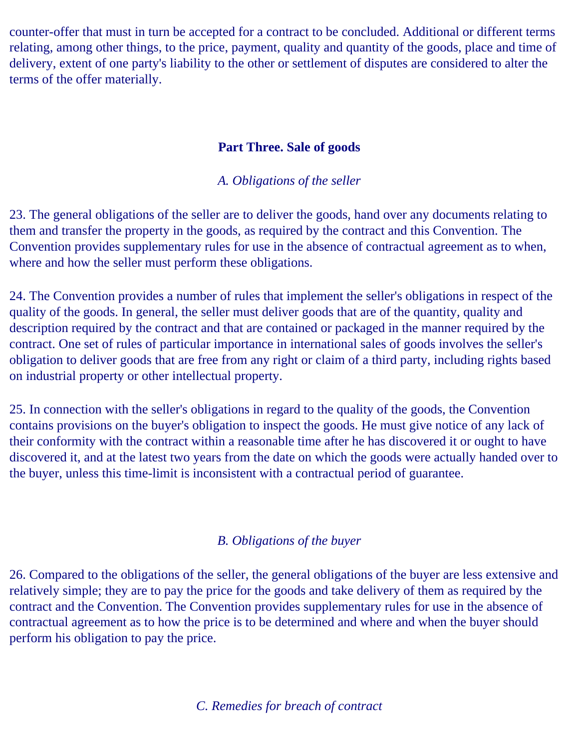counter-offer that must in turn be accepted for a contract to be concluded. Additional or different terms relating, among other things, to the price, payment, quality and quantity of the goods, place and time of delivery, extent of one party's liability to the other or settlement of disputes are considered to alter the terms of the offer materially.

## **Part Three. Sale of goods**

#### *A. Obligations of the seller*

23. The general obligations of the seller are to deliver the goods, hand over any documents relating to them and transfer the property in the goods, as required by the contract and this Convention. The Convention provides supplementary rules for use in the absence of contractual agreement as to when, where and how the seller must perform these obligations.

24. The Convention provides a number of rules that implement the seller's obligations in respect of the quality of the goods. In general, the seller must deliver goods that are of the quantity, quality and description required by the contract and that are contained or packaged in the manner required by the contract. One set of rules of particular importance in international sales of goods involves the seller's obligation to deliver goods that are free from any right or claim of a third party, including rights based on industrial property or other intellectual property.

25. In connection with the seller's obligations in regard to the quality of the goods, the Convention contains provisions on the buyer's obligation to inspect the goods. He must give notice of any lack of their conformity with the contract within a reasonable time after he has discovered it or ought to have discovered it, and at the latest two years from the date on which the goods were actually handed over to the buyer, unless this time-limit is inconsistent with a contractual period of guarantee.

#### *B. Obligations of the buyer*

26. Compared to the obligations of the seller, the general obligations of the buyer are less extensive and relatively simple; they are to pay the price for the goods and take delivery of them as required by the contract and the Convention. The Convention provides supplementary rules for use in the absence of contractual agreement as to how the price is to be determined and where and when the buyer should perform his obligation to pay the price.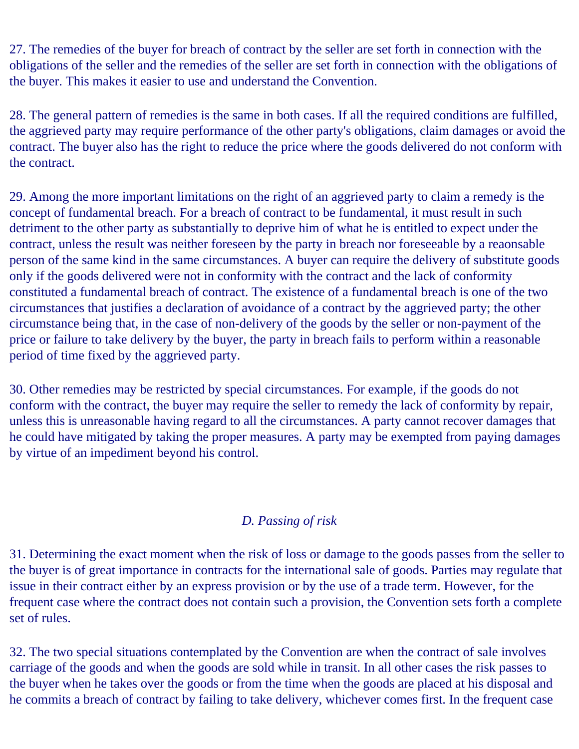27. The remedies of the buyer for breach of contract by the seller are set forth in connection with the obligations of the seller and the remedies of the seller are set forth in connection with the obligations of the buyer. This makes it easier to use and understand the Convention.

28. The general pattern of remedies is the same in both cases. If all the required conditions are fulfilled, the aggrieved party may require performance of the other party's obligations, claim damages or avoid the contract. The buyer also has the right to reduce the price where the goods delivered do not conform with the contract.

29. Among the more important limitations on the right of an aggrieved party to claim a remedy is the concept of fundamental breach. For a breach of contract to be fundamental, it must result in such detriment to the other party as substantially to deprive him of what he is entitled to expect under the contract, unless the result was neither foreseen by the party in breach nor foreseeable by a reaonsable person of the same kind in the same circumstances. A buyer can require the delivery of substitute goods only if the goods delivered were not in conformity with the contract and the lack of conformity constituted a fundamental breach of contract. The existence of a fundamental breach is one of the two circumstances that justifies a declaration of avoidance of a contract by the aggrieved party; the other circumstance being that, in the case of non-delivery of the goods by the seller or non-payment of the price or failure to take delivery by the buyer, the party in breach fails to perform within a reasonable period of time fixed by the aggrieved party.

30. Other remedies may be restricted by special circumstances. For example, if the goods do not conform with the contract, the buyer may require the seller to remedy the lack of conformity by repair, unless this is unreasonable having regard to all the circumstances. A party cannot recover damages that he could have mitigated by taking the proper measures. A party may be exempted from paying damages by virtue of an impediment beyond his control.

## *D. Passing of risk*

31. Determining the exact moment when the risk of loss or damage to the goods passes from the seller to the buyer is of great importance in contracts for the international sale of goods. Parties may regulate that issue in their contract either by an express provision or by the use of a trade term. However, for the frequent case where the contract does not contain such a provision, the Convention sets forth a complete set of rules.

32. The two special situations contemplated by the Convention are when the contract of sale involves carriage of the goods and when the goods are sold while in transit. In all other cases the risk passes to the buyer when he takes over the goods or from the time when the goods are placed at his disposal and he commits a breach of contract by failing to take delivery, whichever comes first. In the frequent case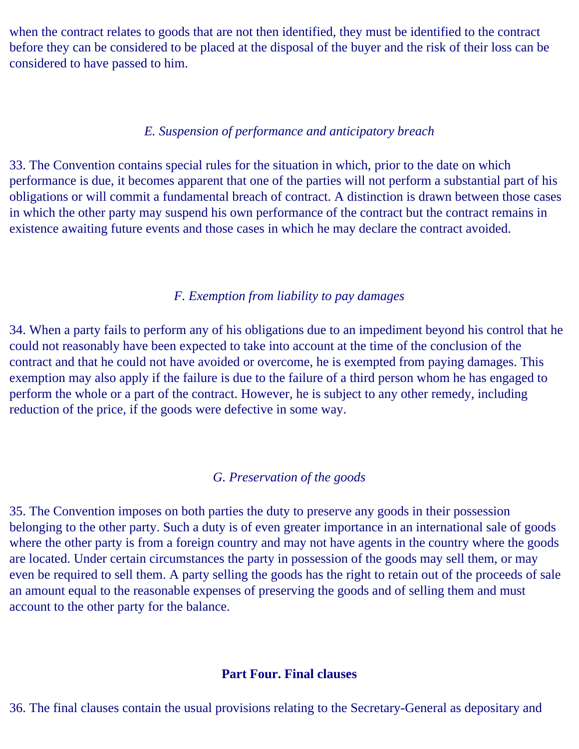when the contract relates to goods that are not then identified, they must be identified to the contract before they can be considered to be placed at the disposal of the buyer and the risk of their loss can be considered to have passed to him.

#### *E. Suspension of performance and anticipatory breach*

33. The Convention contains special rules for the situation in which, prior to the date on which performance is due, it becomes apparent that one of the parties will not perform a substantial part of his obligations or will commit a fundamental breach of contract. A distinction is drawn between those cases in which the other party may suspend his own performance of the contract but the contract remains in existence awaiting future events and those cases in which he may declare the contract avoided.

#### *F. Exemption from liability to pay damages*

34. When a party fails to perform any of his obligations due to an impediment beyond his control that he could not reasonably have been expected to take into account at the time of the conclusion of the contract and that he could not have avoided or overcome, he is exempted from paying damages. This exemption may also apply if the failure is due to the failure of a third person whom he has engaged to perform the whole or a part of the contract. However, he is subject to any other remedy, including reduction of the price, if the goods were defective in some way.

## *G. Preservation of the goods*

35. The Convention imposes on both parties the duty to preserve any goods in their possession belonging to the other party. Such a duty is of even greater importance in an international sale of goods where the other party is from a foreign country and may not have agents in the country where the goods are located. Under certain circumstances the party in possession of the goods may sell them, or may even be required to sell them. A party selling the goods has the right to retain out of the proceeds of sale an amount equal to the reasonable expenses of preserving the goods and of selling them and must account to the other party for the balance.

#### **Part Four. Final clauses**

36. The final clauses contain the usual provisions relating to the Secretary-General as depositary and